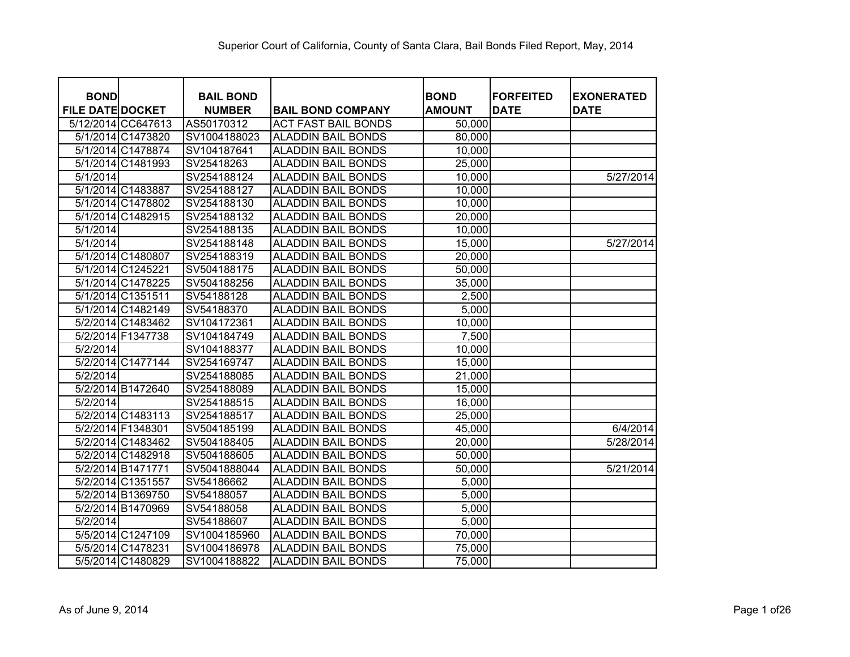| <b>BOND</b>             | <b>BAIL BOND</b> |                            | <b>BOND</b>   | <b>IFORFEITED</b> | <b>EXONERATED</b> |
|-------------------------|------------------|----------------------------|---------------|-------------------|-------------------|
| <b>FILE DATE DOCKET</b> | <b>NUMBER</b>    | <b>BAIL BOND COMPANY</b>   | <b>AMOUNT</b> | <b>DATE</b>       | <b>DATE</b>       |
| 5/12/2014 CC647613      | AS50170312       | <b>ACT FAST BAIL BONDS</b> | 50,000        |                   |                   |
| 5/1/2014 C1473820       | SV1004188023     | <b>ALADDIN BAIL BONDS</b>  | 80,000        |                   |                   |
| 5/1/2014 C1478874       | SV104187641      | <b>ALADDIN BAIL BONDS</b>  | 10,000        |                   |                   |
| 5/1/2014 C1481993       | SV25418263       | <b>ALADDIN BAIL BONDS</b>  | 25,000        |                   |                   |
| 5/1/2014                | SV254188124      | <b>ALADDIN BAIL BONDS</b>  | 10,000        |                   | 5/27/2014         |
| 5/1/2014 C1483887       | SV254188127      | <b>ALADDIN BAIL BONDS</b>  | 10,000        |                   |                   |
| 5/1/2014 C1478802       | SV254188130      | <b>ALADDIN BAIL BONDS</b>  | 10,000        |                   |                   |
| 5/1/2014 C1482915       | SV254188132      | <b>ALADDIN BAIL BONDS</b>  | 20,000        |                   |                   |
| 5/1/2014                | SV254188135      | <b>ALADDIN BAIL BONDS</b>  | 10,000        |                   |                   |
| 5/1/2014                | SV254188148      | <b>ALADDIN BAIL BONDS</b>  | 15,000        |                   | 5/27/2014         |
| 5/1/2014 C1480807       | SV254188319      | <b>ALADDIN BAIL BONDS</b>  | 20,000        |                   |                   |
| 5/1/2014 C1245221       | SV504188175      | <b>ALADDIN BAIL BONDS</b>  | 50,000        |                   |                   |
| 5/1/2014 C1478225       | SV504188256      | <b>ALADDIN BAIL BONDS</b>  | 35,000        |                   |                   |
| 5/1/2014 C1351511       | SV54188128       | <b>ALADDIN BAIL BONDS</b>  | 2,500         |                   |                   |
| 5/1/2014 C1482149       | SV54188370       | <b>ALADDIN BAIL BONDS</b>  | 5,000         |                   |                   |
| 5/2/2014 C1483462       | SV104172361      | <b>ALADDIN BAIL BONDS</b>  | 10,000        |                   |                   |
| 5/2/2014 F1347738       | SV104184749      | <b>ALADDIN BAIL BONDS</b>  | 7,500         |                   |                   |
| 5/2/2014                | SV104188377      | <b>ALADDIN BAIL BONDS</b>  | 10,000        |                   |                   |
| 5/2/2014 C1477144       | SV254169747      | <b>ALADDIN BAIL BONDS</b>  | 15,000        |                   |                   |
| 5/2/2014                | SV254188085      | <b>ALADDIN BAIL BONDS</b>  | 21,000        |                   |                   |
| 5/2/2014 B1472640       | SV254188089      | <b>ALADDIN BAIL BONDS</b>  | 15,000        |                   |                   |
| 5/2/2014                | SV254188515      | <b>ALADDIN BAIL BONDS</b>  | 16,000        |                   |                   |
| 5/2/2014 C1483113       | SV254188517      | <b>ALADDIN BAIL BONDS</b>  | 25,000        |                   |                   |
| 5/2/2014 F1348301       | SV504185199      | <b>ALADDIN BAIL BONDS</b>  | 45,000        |                   | 6/4/2014          |
| 5/2/2014 C1483462       | SV504188405      | <b>ALADDIN BAIL BONDS</b>  | 20,000        |                   | 5/28/2014         |
| 5/2/2014 C1482918       | SV504188605      | <b>ALADDIN BAIL BONDS</b>  | 50,000        |                   |                   |
| 5/2/2014 B1471771       | SV5041888044     | <b>ALADDIN BAIL BONDS</b>  | 50,000        |                   | 5/21/2014         |
| 5/2/2014 C1351557       | SV54186662       | <b>ALADDIN BAIL BONDS</b>  | 5,000         |                   |                   |
| 5/2/2014 B1369750       | SV54188057       | <b>ALADDIN BAIL BONDS</b>  | 5,000         |                   |                   |
| 5/2/2014 B1470969       | SV54188058       | <b>ALADDIN BAIL BONDS</b>  | 5,000         |                   |                   |
| 5/2/2014                | SV54188607       | <b>ALADDIN BAIL BONDS</b>  | 5,000         |                   |                   |
| 5/5/2014 C1247109       | SV1004185960     | <b>ALADDIN BAIL BONDS</b>  | 70,000        |                   |                   |
| 5/5/2014 C1478231       | SV1004186978     | <b>ALADDIN BAIL BONDS</b>  | 75,000        |                   |                   |
| 5/5/2014 C1480829       | SV1004188822     | <b>ALADDIN BAIL BONDS</b>  | 75,000        |                   |                   |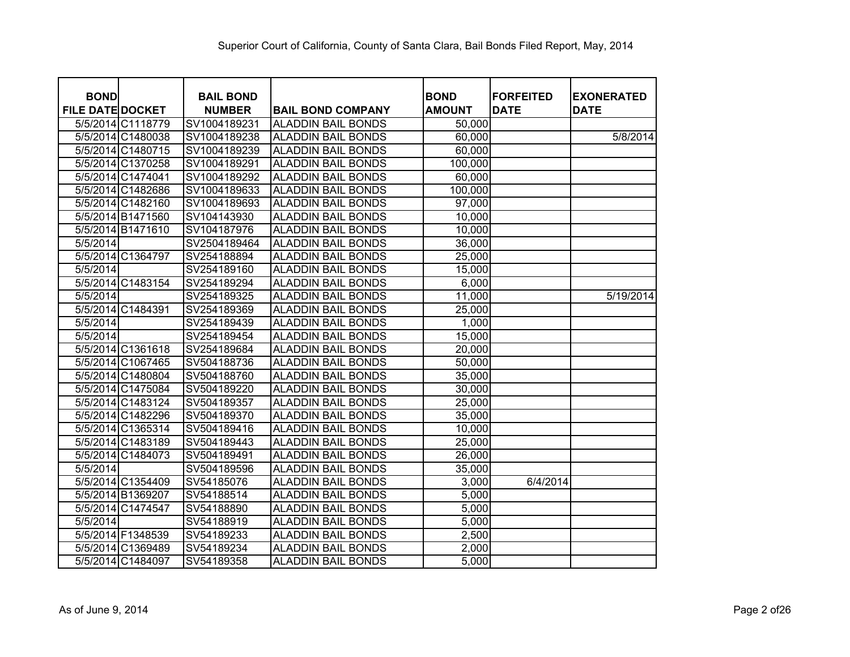| <b>BOND</b>             |                                        | <b>BAIL BOND</b>             |                                                        | <b>BOND</b>      | <b>FORFEITED</b><br><b>DATE</b> | <b>EXONERATED</b> |
|-------------------------|----------------------------------------|------------------------------|--------------------------------------------------------|------------------|---------------------------------|-------------------|
| <b>FILE DATE DOCKET</b> |                                        | <b>NUMBER</b>                | <b>BAIL BOND COMPANY</b>                               | <b>AMOUNT</b>    |                                 | <b>DATE</b>       |
|                         | 5/5/2014 C1118779<br>5/5/2014 C1480038 | SV1004189231<br>SV1004189238 | <b>ALADDIN BAIL BONDS</b><br><b>ALADDIN BAIL BONDS</b> | 50,000<br>60,000 |                                 | 5/8/2014          |
|                         | 5/5/2014 C1480715                      | SV1004189239                 | <b>ALADDIN BAIL BONDS</b>                              | 60,000           |                                 |                   |
|                         |                                        |                              |                                                        |                  |                                 |                   |
|                         | 5/5/2014 C1370258                      | SV1004189291                 | <b>ALADDIN BAIL BONDS</b>                              | 100,000          |                                 |                   |
|                         | 5/5/2014 C1474041                      | SV1004189292                 | <b>ALADDIN BAIL BONDS</b>                              | 60,000           |                                 |                   |
|                         | 5/5/2014 C1482686                      | SV1004189633                 | <b>ALADDIN BAIL BONDS</b>                              | 100,000          |                                 |                   |
|                         | 5/5/2014 C1482160                      | SV1004189693                 | <b>ALADDIN BAIL BONDS</b>                              | 97,000           |                                 |                   |
|                         | 5/5/2014 B1471560                      | SV104143930                  | <b>ALADDIN BAIL BONDS</b>                              | 10,000           |                                 |                   |
|                         | 5/5/2014 B1471610                      | SV104187976                  | <b>ALADDIN BAIL BONDS</b>                              | 10,000           |                                 |                   |
| 5/5/2014                |                                        | SV2504189464                 | <b>ALADDIN BAIL BONDS</b>                              | 36,000           |                                 |                   |
|                         | 5/5/2014 C1364797                      | SV254188894                  | <b>ALADDIN BAIL BONDS</b>                              | 25,000           |                                 |                   |
| 5/5/2014                |                                        | SV254189160                  | <b>ALADDIN BAIL BONDS</b>                              | 15,000           |                                 |                   |
|                         | 5/5/2014 C1483154                      | SV254189294                  | <b>ALADDIN BAIL BONDS</b>                              | 6,000            |                                 |                   |
| 5/5/2014                |                                        | SV254189325                  | <b>ALADDIN BAIL BONDS</b>                              | 11,000           |                                 | 5/19/2014         |
|                         | 5/5/2014 C1484391                      | SV254189369                  | <b>ALADDIN BAIL BONDS</b>                              | 25,000           |                                 |                   |
| 5/5/2014                |                                        | SV254189439                  | <b>ALADDIN BAIL BONDS</b>                              | 1,000            |                                 |                   |
| 5/5/2014                |                                        | SV254189454                  | <b>ALADDIN BAIL BONDS</b>                              | 15,000           |                                 |                   |
|                         | 5/5/2014 C1361618                      | SV254189684                  | <b>ALADDIN BAIL BONDS</b>                              | 20,000           |                                 |                   |
|                         | 5/5/2014 C1067465                      | SV504188736                  | <b>ALADDIN BAIL BONDS</b>                              | 50,000           |                                 |                   |
|                         | 5/5/2014 C1480804                      | SV504188760                  | <b>ALADDIN BAIL BONDS</b>                              | 35,000           |                                 |                   |
|                         | 5/5/2014 C1475084                      | SV504189220                  | <b>ALADDIN BAIL BONDS</b>                              | 30,000           |                                 |                   |
|                         | 5/5/2014 C1483124                      | SV504189357                  | <b>ALADDIN BAIL BONDS</b>                              | 25,000           |                                 |                   |
|                         | 5/5/2014 C1482296                      | SV504189370                  | <b>ALADDIN BAIL BONDS</b>                              | 35,000           |                                 |                   |
|                         | 5/5/2014 C1365314                      | SV504189416                  | <b>ALADDIN BAIL BONDS</b>                              | 10,000           |                                 |                   |
|                         | 5/5/2014 C1483189                      | SV504189443                  | <b>ALADDIN BAIL BONDS</b>                              | 25,000           |                                 |                   |
|                         | 5/5/2014 C1484073                      | SV504189491                  | <b>ALADDIN BAIL BONDS</b>                              | 26,000           |                                 |                   |
| 5/5/2014                |                                        | SV504189596                  | <b>ALADDIN BAIL BONDS</b>                              | 35,000           |                                 |                   |
|                         | 5/5/2014 C1354409                      | SV54185076                   | <b>ALADDIN BAIL BONDS</b>                              | 3,000            | 6/4/2014                        |                   |
|                         | 5/5/2014 B1369207                      | SV54188514                   | <b>ALADDIN BAIL BONDS</b>                              | 5,000            |                                 |                   |
|                         | 5/5/2014 C1474547                      | SV54188890                   | <b>ALADDIN BAIL BONDS</b>                              | 5,000            |                                 |                   |
| 5/5/2014                |                                        | SV54188919                   | <b>ALADDIN BAIL BONDS</b>                              | 5,000            |                                 |                   |
|                         | 5/5/2014 F1348539                      | SV54189233                   | <b>ALADDIN BAIL BONDS</b>                              | 2,500            |                                 |                   |
|                         | 5/5/2014 C1369489                      | SV54189234                   | <b>ALADDIN BAIL BONDS</b>                              | 2,000            |                                 |                   |
|                         | 5/5/2014 C1484097                      | SV54189358                   | <b>ALADDIN BAIL BONDS</b>                              | 5,000            |                                 |                   |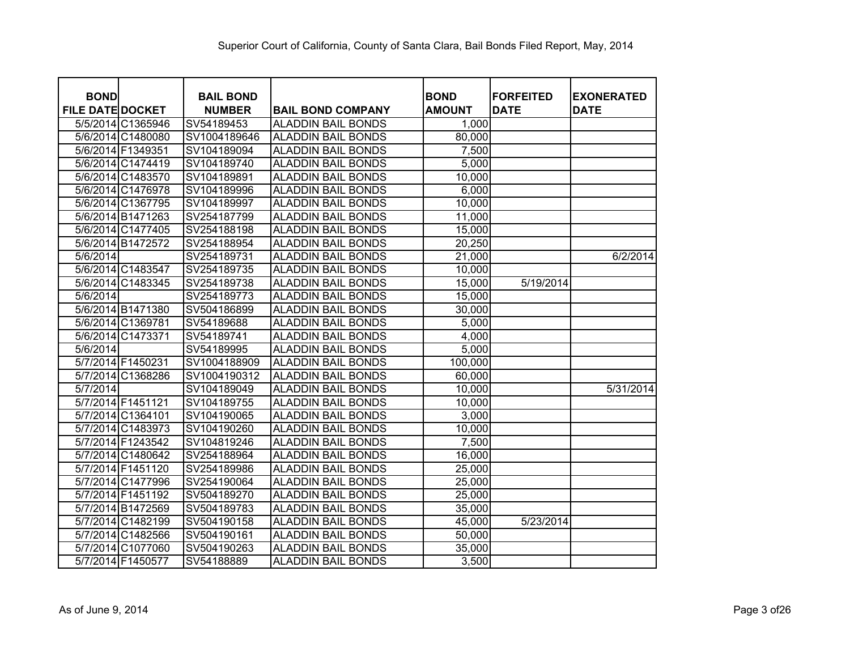| <b>BOND</b>             |                   | <b>BAIL BOND</b> |                           | <b>BOND</b>   | <b>FORFEITED</b> |                                  |
|-------------------------|-------------------|------------------|---------------------------|---------------|------------------|----------------------------------|
| <b>FILE DATE DOCKET</b> |                   | <b>NUMBER</b>    | <b>BAIL BOND COMPANY</b>  | <b>AMOUNT</b> | <b>DATE</b>      | <b>EXONERATED</b><br><b>DATE</b> |
|                         | 5/5/2014 C1365946 | SV54189453       | <b>ALADDIN BAIL BONDS</b> | 1,000         |                  |                                  |
|                         | 5/6/2014 C1480080 | SV1004189646     | <b>ALADDIN BAIL BONDS</b> | 80,000        |                  |                                  |
|                         | 5/6/2014 F1349351 | SV104189094      | <b>ALADDIN BAIL BONDS</b> | 7,500         |                  |                                  |
|                         | 5/6/2014 C1474419 | SV104189740      | <b>ALADDIN BAIL BONDS</b> | 5,000         |                  |                                  |
|                         | 5/6/2014 C1483570 | SV104189891      | <b>ALADDIN BAIL BONDS</b> | 10,000        |                  |                                  |
|                         | 5/6/2014 C1476978 | SV104189996      | <b>ALADDIN BAIL BONDS</b> | 6,000         |                  |                                  |
|                         | 5/6/2014 C1367795 | SV104189997      | <b>ALADDIN BAIL BONDS</b> | 10,000        |                  |                                  |
|                         | 5/6/2014 B1471263 | SV254187799      | <b>ALADDIN BAIL BONDS</b> | 11,000        |                  |                                  |
|                         | 5/6/2014 C1477405 | SV254188198      | <b>ALADDIN BAIL BONDS</b> | 15,000        |                  |                                  |
|                         | 5/6/2014 B1472572 | SV254188954      | <b>ALADDIN BAIL BONDS</b> | 20,250        |                  |                                  |
| 5/6/2014                |                   | SV254189731      | <b>ALADDIN BAIL BONDS</b> | 21,000        |                  | 6/2/2014                         |
|                         | 5/6/2014 C1483547 | SV254189735      | <b>ALADDIN BAIL BONDS</b> | 10,000        |                  |                                  |
|                         | 5/6/2014 C1483345 | SV254189738      | <b>ALADDIN BAIL BONDS</b> | 15,000        | 5/19/2014        |                                  |
| 5/6/2014                |                   | SV254189773      | <b>ALADDIN BAIL BONDS</b> | 15,000        |                  |                                  |
|                         | 5/6/2014 B1471380 | SV504186899      | <b>ALADDIN BAIL BONDS</b> | 30,000        |                  |                                  |
|                         | 5/6/2014 C1369781 | SV54189688       | <b>ALADDIN BAIL BONDS</b> | 5,000         |                  |                                  |
|                         | 5/6/2014 C1473371 | SV54189741       | <b>ALADDIN BAIL BONDS</b> | 4,000         |                  |                                  |
| 5/6/2014                |                   | SV54189995       | <b>ALADDIN BAIL BONDS</b> | 5,000         |                  |                                  |
|                         | 5/7/2014 F1450231 | SV1004188909     | <b>ALADDIN BAIL BONDS</b> | 100,000       |                  |                                  |
|                         | 5/7/2014 C1368286 | SV1004190312     | <b>ALADDIN BAIL BONDS</b> | 60,000        |                  |                                  |
| 5/7/2014                |                   | SV104189049      | <b>ALADDIN BAIL BONDS</b> | 10,000        |                  | 5/31/2014                        |
|                         | 5/7/2014 F1451121 | SV104189755      | <b>ALADDIN BAIL BONDS</b> | 10,000        |                  |                                  |
|                         | 5/7/2014 C1364101 | SV104190065      | <b>ALADDIN BAIL BONDS</b> | 3,000         |                  |                                  |
|                         | 5/7/2014 C1483973 | SV104190260      | <b>ALADDIN BAIL BONDS</b> | 10,000        |                  |                                  |
|                         | 5/7/2014 F1243542 | SV104819246      | <b>ALADDIN BAIL BONDS</b> | 7,500         |                  |                                  |
|                         | 5/7/2014 C1480642 | SV254188964      | <b>ALADDIN BAIL BONDS</b> | 16,000        |                  |                                  |
|                         | 5/7/2014 F1451120 | SV254189986      | <b>ALADDIN BAIL BONDS</b> | 25,000        |                  |                                  |
|                         | 5/7/2014 C1477996 | SV254190064      | <b>ALADDIN BAIL BONDS</b> | 25,000        |                  |                                  |
|                         | 5/7/2014 F1451192 | SV504189270      | <b>ALADDIN BAIL BONDS</b> | 25,000        |                  |                                  |
|                         | 5/7/2014 B1472569 | SV504189783      | <b>ALADDIN BAIL BONDS</b> | 35,000        |                  |                                  |
|                         | 5/7/2014 C1482199 | SV504190158      | <b>ALADDIN BAIL BONDS</b> | 45,000        | 5/23/2014        |                                  |
|                         | 5/7/2014 C1482566 | SV504190161      | <b>ALADDIN BAIL BONDS</b> | 50,000        |                  |                                  |
|                         | 5/7/2014 C1077060 | SV504190263      | <b>ALADDIN BAIL BONDS</b> | 35,000        |                  |                                  |
|                         | 5/7/2014 F1450577 | SV54188889       | <b>ALADDIN BAIL BONDS</b> | 3,500         |                  |                                  |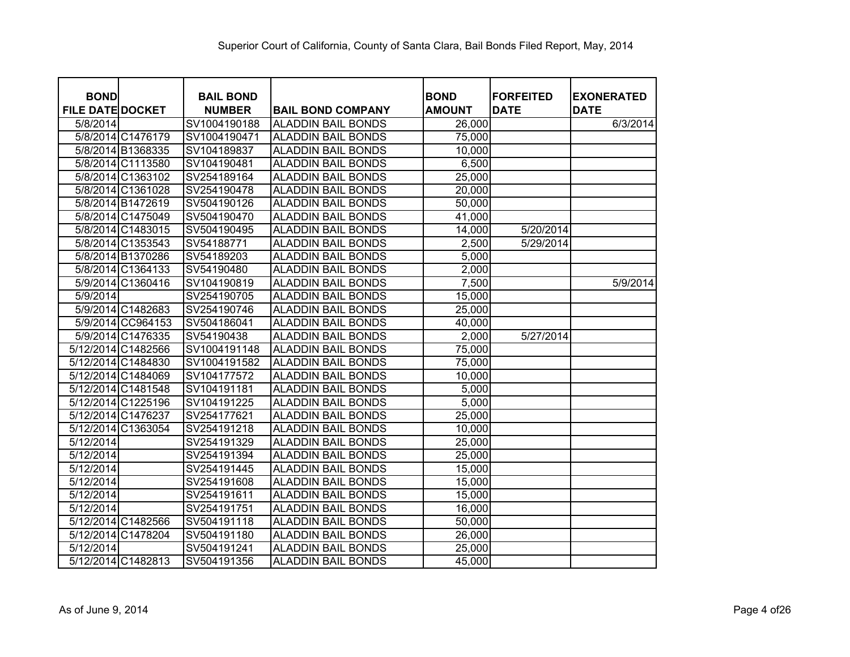| <b>BOND</b>             |                   | <b>BAIL BOND</b> |                           | <b>BOND</b>   | <b>FORFEITED</b> | <b>EXONERATED</b> |
|-------------------------|-------------------|------------------|---------------------------|---------------|------------------|-------------------|
| <b>FILE DATE DOCKET</b> |                   | <b>NUMBER</b>    | <b>BAIL BOND COMPANY</b>  | <b>AMOUNT</b> | <b>DATE</b>      | <b>DATE</b>       |
| 5/8/2014                |                   | SV1004190188     | <b>ALADDIN BAIL BONDS</b> | 26,000        |                  | 6/3/2014          |
|                         | 5/8/2014 C1476179 | SV1004190471     | <b>ALADDIN BAIL BONDS</b> | 75,000        |                  |                   |
|                         | 5/8/2014 B1368335 | SV104189837      | <b>ALADDIN BAIL BONDS</b> | 10,000        |                  |                   |
|                         | 5/8/2014 C1113580 | SV104190481      | <b>ALADDIN BAIL BONDS</b> | 6,500         |                  |                   |
|                         | 5/8/2014 C1363102 | SV254189164      | <b>ALADDIN BAIL BONDS</b> | 25,000        |                  |                   |
|                         | 5/8/2014 C1361028 | SV254190478      | <b>ALADDIN BAIL BONDS</b> | 20,000        |                  |                   |
|                         | 5/8/2014 B1472619 | SV504190126      | <b>ALADDIN BAIL BONDS</b> | 50,000        |                  |                   |
|                         | 5/8/2014 C1475049 | SV504190470      | <b>ALADDIN BAIL BONDS</b> | 41,000        |                  |                   |
|                         | 5/8/2014 C1483015 | SV504190495      | <b>ALADDIN BAIL BONDS</b> | 14,000        | 5/20/2014        |                   |
|                         | 5/8/2014 C1353543 | SV54188771       | <b>ALADDIN BAIL BONDS</b> | 2,500         | 5/29/2014        |                   |
|                         | 5/8/2014 B1370286 | SV54189203       | <b>ALADDIN BAIL BONDS</b> | 5,000         |                  |                   |
|                         | 5/8/2014 C1364133 | SV54190480       | <b>ALADDIN BAIL BONDS</b> | 2,000         |                  |                   |
|                         | 5/9/2014 C1360416 | SV104190819      | <b>ALADDIN BAIL BONDS</b> | 7,500         |                  | 5/9/2014          |
| 5/9/2014                |                   | SV254190705      | <b>ALADDIN BAIL BONDS</b> | 15,000        |                  |                   |
|                         | 5/9/2014 C1482683 | SV254190746      | <b>ALADDIN BAIL BONDS</b> | 25,000        |                  |                   |
|                         | 5/9/2014 CC964153 | SV504186041      | <b>ALADDIN BAIL BONDS</b> | 40,000        |                  |                   |
|                         | 5/9/2014 C1476335 | SV54190438       | <b>ALADDIN BAIL BONDS</b> | 2,000         | 5/27/2014        |                   |
| 5/12/2014 C1482566      |                   | SV1004191148     | <b>ALADDIN BAIL BONDS</b> | 75,000        |                  |                   |
| 5/12/2014 C1484830      |                   | SV1004191582     | <b>ALADDIN BAIL BONDS</b> | 75,000        |                  |                   |
| 5/12/2014 C1484069      |                   | SV104177572      | <b>ALADDIN BAIL BONDS</b> | 10,000        |                  |                   |
| 5/12/2014 C1481548      |                   | SV104191181      | <b>ALADDIN BAIL BONDS</b> | 5,000         |                  |                   |
| 5/12/2014 C1225196      |                   | SV104191225      | <b>ALADDIN BAIL BONDS</b> | 5,000         |                  |                   |
| 5/12/2014 C1476237      |                   | SV254177621      | <b>ALADDIN BAIL BONDS</b> | 25,000        |                  |                   |
| 5/12/2014 C1363054      |                   | SV254191218      | <b>ALADDIN BAIL BONDS</b> | 10,000        |                  |                   |
| 5/12/2014               |                   | SV254191329      | <b>ALADDIN BAIL BONDS</b> | 25,000        |                  |                   |
| 5/12/2014               |                   | SV254191394      | <b>ALADDIN BAIL BONDS</b> | 25,000        |                  |                   |
| 5/12/2014               |                   | SV254191445      | <b>ALADDIN BAIL BONDS</b> | 15,000        |                  |                   |
| 5/12/2014               |                   | SV254191608      | <b>ALADDIN BAIL BONDS</b> | 15,000        |                  |                   |
| 5/12/2014               |                   | SV254191611      | <b>ALADDIN BAIL BONDS</b> | 15,000        |                  |                   |
| 5/12/2014               |                   | SV254191751      | <b>ALADDIN BAIL BONDS</b> | 16,000        |                  |                   |
| 5/12/2014 C1482566      |                   | SV504191118      | <b>ALADDIN BAIL BONDS</b> | 50,000        |                  |                   |
| 5/12/2014 C1478204      |                   | SV504191180      | <b>ALADDIN BAIL BONDS</b> | 26,000        |                  |                   |
| 5/12/2014               |                   | SV504191241      | <b>ALADDIN BAIL BONDS</b> | 25,000        |                  |                   |
| 5/12/2014 C1482813      |                   | SV504191356      | <b>ALADDIN BAIL BONDS</b> | 45,000        |                  |                   |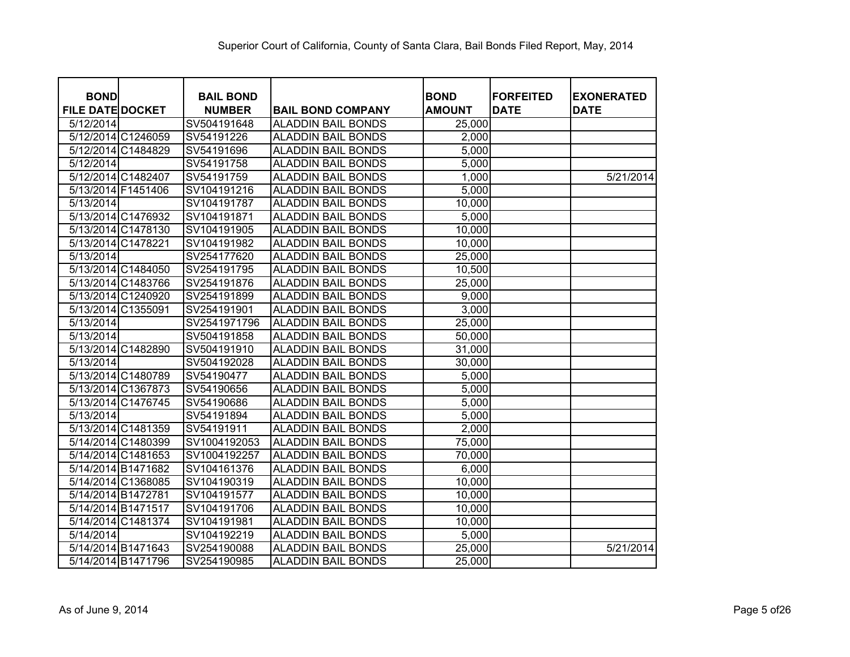| <b>BOND</b>             | <b>BAIL BOND</b> |                           | <b>BOND</b>   | <b>FORFEITED</b> | <b>EXONERATED</b> |
|-------------------------|------------------|---------------------------|---------------|------------------|-------------------|
| <b>FILE DATE DOCKET</b> | <b>NUMBER</b>    | <b>BAIL BOND COMPANY</b>  | <b>AMOUNT</b> | <b>DATE</b>      | <b>DATE</b>       |
| 5/12/2014               | SV504191648      | <b>ALADDIN BAIL BONDS</b> | 25,000        |                  |                   |
| 5/12/2014 C1246059      | SV54191226       | <b>ALADDIN BAIL BONDS</b> | 2,000         |                  |                   |
| 5/12/2014 C1484829      | SV54191696       | <b>ALADDIN BAIL BONDS</b> | 5,000         |                  |                   |
| 5/12/2014               | SV54191758       | <b>ALADDIN BAIL BONDS</b> | 5,000         |                  |                   |
| 5/12/2014 C1482407      | SV54191759       | <b>ALADDIN BAIL BONDS</b> | 1,000         |                  | 5/21/2014         |
| 5/13/2014 F1451406      | SV104191216      | <b>ALADDIN BAIL BONDS</b> | 5,000         |                  |                   |
| 5/13/2014               | SV104191787      | <b>ALADDIN BAIL BONDS</b> | 10,000        |                  |                   |
| 5/13/2014 C1476932      | SV104191871      | <b>ALADDIN BAIL BONDS</b> | 5,000         |                  |                   |
| 5/13/2014 C1478130      | SV104191905      | <b>ALADDIN BAIL BONDS</b> | 10,000        |                  |                   |
| 5/13/2014 C1478221      | SV104191982      | <b>ALADDIN BAIL BONDS</b> | 10,000        |                  |                   |
| 5/13/2014               | SV254177620      | <b>ALADDIN BAIL BONDS</b> | 25,000        |                  |                   |
| 5/13/2014 C1484050      | SV254191795      | <b>ALADDIN BAIL BONDS</b> | 10,500        |                  |                   |
| 5/13/2014 C1483766      | SV254191876      | <b>ALADDIN BAIL BONDS</b> | 25,000        |                  |                   |
| 5/13/2014 C1240920      | SV254191899      | <b>ALADDIN BAIL BONDS</b> | 9,000         |                  |                   |
| 5/13/2014 C1355091      | SV254191901      | <b>ALADDIN BAIL BONDS</b> | 3,000         |                  |                   |
| 5/13/2014               | SV2541971796     | <b>ALADDIN BAIL BONDS</b> | 25,000        |                  |                   |
| 5/13/2014               | SV504191858      | <b>ALADDIN BAIL BONDS</b> | 50,000        |                  |                   |
| 5/13/2014 C1482890      | SV504191910      | <b>ALADDIN BAIL BONDS</b> | 31,000        |                  |                   |
| 5/13/2014               | SV504192028      | <b>ALADDIN BAIL BONDS</b> | 30,000        |                  |                   |
| 5/13/2014 C1480789      | SV54190477       | <b>ALADDIN BAIL BONDS</b> | 5,000         |                  |                   |
| 5/13/2014 C1367873      | SV54190656       | <b>ALADDIN BAIL BONDS</b> | 5,000         |                  |                   |
| 5/13/2014 C1476745      | SV54190686       | <b>ALADDIN BAIL BONDS</b> | 5,000         |                  |                   |
| 5/13/2014               | SV54191894       | <b>ALADDIN BAIL BONDS</b> | 5,000         |                  |                   |
| 5/13/2014 C1481359      | SV54191911       | <b>ALADDIN BAIL BONDS</b> | 2,000         |                  |                   |
| 5/14/2014 C1480399      | SV1004192053     | <b>ALADDIN BAIL BONDS</b> | 75,000        |                  |                   |
| 5/14/2014 C1481653      | SV1004192257     | <b>ALADDIN BAIL BONDS</b> | 70,000        |                  |                   |
| 5/14/2014 B1471682      | SV104161376      | <b>ALADDIN BAIL BONDS</b> | 6,000         |                  |                   |
| 5/14/2014 C1368085      | SV104190319      | <b>ALADDIN BAIL BONDS</b> | 10,000        |                  |                   |
| 5/14/2014 B1472781      | SV104191577      | <b>ALADDIN BAIL BONDS</b> | 10,000        |                  |                   |
| 5/14/2014 B1471517      | SV104191706      | <b>ALADDIN BAIL BONDS</b> | 10,000        |                  |                   |
| 5/14/2014 C1481374      | SV104191981      | <b>ALADDIN BAIL BONDS</b> | 10,000        |                  |                   |
| 5/14/2014               | SV104192219      | <b>ALADDIN BAIL BONDS</b> | 5,000         |                  |                   |
| 5/14/2014 B1471643      | SV254190088      | <b>ALADDIN BAIL BONDS</b> | 25,000        |                  | 5/21/2014         |
| 5/14/2014 B1471796      | SV254190985      | <b>ALADDIN BAIL BONDS</b> | 25,000        |                  |                   |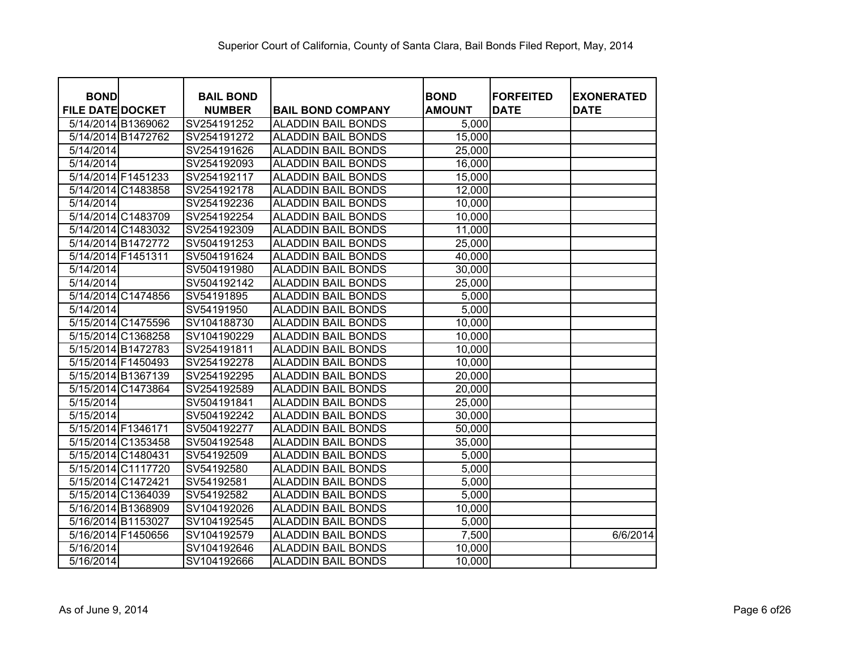| <b>BOND</b>             | <b>BAIL BOND</b> |                           | <b>BOND</b>   | <b>FORFEITED</b> | <b>EXONERATED</b> |
|-------------------------|------------------|---------------------------|---------------|------------------|-------------------|
| <b>FILE DATE DOCKET</b> | <b>NUMBER</b>    | <b>BAIL BOND COMPANY</b>  | <b>AMOUNT</b> | <b>DATE</b>      | <b>DATE</b>       |
| 5/14/2014 B1369062      | SV254191252      | <b>ALADDIN BAIL BONDS</b> | 5,000         |                  |                   |
| 5/14/2014 B1472762      | SV254191272      | <b>ALADDIN BAIL BONDS</b> | 15,000        |                  |                   |
| 5/14/2014               | SV254191626      | <b>ALADDIN BAIL BONDS</b> | 25,000        |                  |                   |
| 5/14/2014               | SV254192093      | <b>ALADDIN BAIL BONDS</b> | 16,000        |                  |                   |
| 5/14/2014 F1451233      | SV254192117      | <b>ALADDIN BAIL BONDS</b> | 15,000        |                  |                   |
| 5/14/2014 C1483858      | SV254192178      | <b>ALADDIN BAIL BONDS</b> | 12,000        |                  |                   |
| 5/14/2014               | SV254192236      | <b>ALADDIN BAIL BONDS</b> | 10,000        |                  |                   |
| 5/14/2014 C1483709      | SV254192254      | <b>ALADDIN BAIL BONDS</b> | 10,000        |                  |                   |
| 5/14/2014 C1483032      | SV254192309      | <b>ALADDIN BAIL BONDS</b> | 11,000        |                  |                   |
| 5/14/2014 B1472772      | SV504191253      | <b>ALADDIN BAIL BONDS</b> | 25,000        |                  |                   |
| 5/14/2014 F1451311      | SV504191624      | <b>ALADDIN BAIL BONDS</b> | 40,000        |                  |                   |
| 5/14/2014               | SV504191980      | <b>ALADDIN BAIL BONDS</b> | 30,000        |                  |                   |
| 5/14/2014               | SV504192142      | <b>ALADDIN BAIL BONDS</b> | 25,000        |                  |                   |
| 5/14/2014 C1474856      | SV54191895       | <b>ALADDIN BAIL BONDS</b> | 5,000         |                  |                   |
| 5/14/2014               | SV54191950       | <b>ALADDIN BAIL BONDS</b> | 5,000         |                  |                   |
| 5/15/2014 C1475596      | SV104188730      | <b>ALADDIN BAIL BONDS</b> | 10,000        |                  |                   |
| 5/15/2014 C1368258      | SV104190229      | <b>ALADDIN BAIL BONDS</b> | 10,000        |                  |                   |
| 5/15/2014 B1472783      | SV254191811      | <b>ALADDIN BAIL BONDS</b> | 10,000        |                  |                   |
| 5/15/2014 F1450493      | SV254192278      | <b>ALADDIN BAIL BONDS</b> | 10,000        |                  |                   |
| 5/15/2014 B1367139      | SV254192295      | <b>ALADDIN BAIL BONDS</b> | 20,000        |                  |                   |
| 5/15/2014 C1473864      | SV254192589      | <b>ALADDIN BAIL BONDS</b> | 20,000        |                  |                   |
| 5/15/2014               | SV504191841      | <b>ALADDIN BAIL BONDS</b> | 25,000        |                  |                   |
| 5/15/2014               | SV504192242      | <b>ALADDIN BAIL BONDS</b> | 30,000        |                  |                   |
| 5/15/2014 F1346171      | SV504192277      | <b>ALADDIN BAIL BONDS</b> | 50,000        |                  |                   |
| 5/15/2014 C1353458      | SV504192548      | <b>ALADDIN BAIL BONDS</b> | 35,000        |                  |                   |
| 5/15/2014 C1480431      | SV54192509       | <b>ALADDIN BAIL BONDS</b> | 5,000         |                  |                   |
| 5/15/2014 C1117720      | SV54192580       | <b>ALADDIN BAIL BONDS</b> | 5,000         |                  |                   |
| 5/15/2014 C1472421      | SV54192581       | <b>ALADDIN BAIL BONDS</b> | 5,000         |                  |                   |
| 5/15/2014 C1364039      | SV54192582       | <b>ALADDIN BAIL BONDS</b> | 5,000         |                  |                   |
| 5/16/2014 B1368909      | SV104192026      | <b>ALADDIN BAIL BONDS</b> | 10,000        |                  |                   |
| 5/16/2014 B1153027      | SV104192545      | <b>ALADDIN BAIL BONDS</b> | 5,000         |                  |                   |
| 5/16/2014 F1450656      | SV104192579      | <b>ALADDIN BAIL BONDS</b> | 7,500         |                  | 6/6/2014          |
| 5/16/2014               | SV104192646      | <b>ALADDIN BAIL BONDS</b> | 10,000        |                  |                   |
| 5/16/2014               | SV104192666      | <b>ALADDIN BAIL BONDS</b> | 10,000        |                  |                   |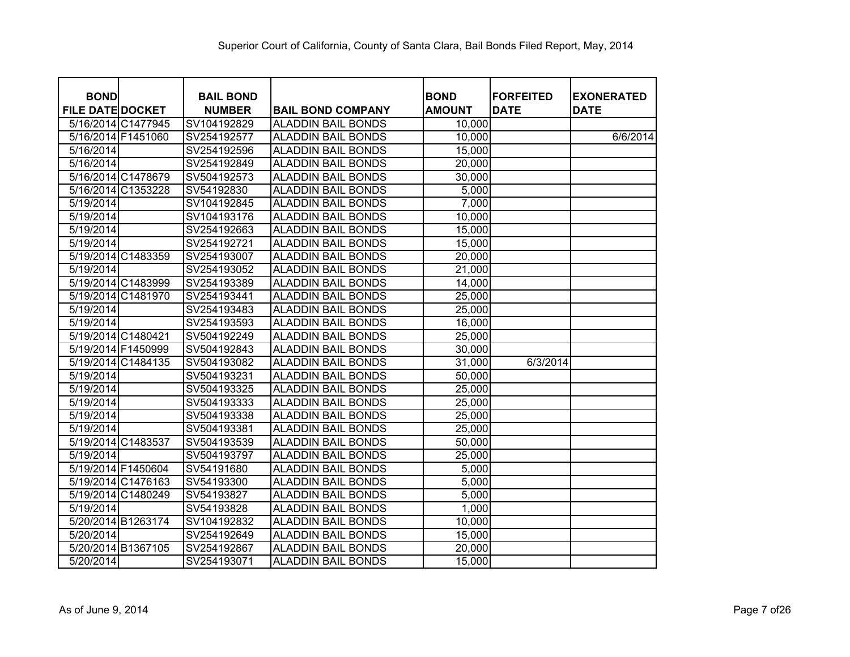| <b>BOND</b>             | <b>BAIL BOND</b> |                           | <b>BOND</b>   | <b>FORFEITED</b> | <b>EXONERATED</b> |
|-------------------------|------------------|---------------------------|---------------|------------------|-------------------|
| <b>FILE DATE DOCKET</b> | <b>NUMBER</b>    | <b>BAIL BOND COMPANY</b>  | <b>AMOUNT</b> | <b>DATE</b>      | <b>DATE</b>       |
| 5/16/2014 C1477945      | SV104192829      | <b>ALADDIN BAIL BONDS</b> | 10,000        |                  |                   |
| 5/16/2014 F1451060      | SV254192577      | <b>ALADDIN BAIL BONDS</b> | 10,000        |                  | 6/6/2014          |
| 5/16/2014               | SV254192596      | <b>ALADDIN BAIL BONDS</b> | 15,000        |                  |                   |
| 5/16/2014               | SV254192849      | <b>ALADDIN BAIL BONDS</b> | 20,000        |                  |                   |
| 5/16/2014 C1478679      | SV504192573      | <b>ALADDIN BAIL BONDS</b> | 30,000        |                  |                   |
| 5/16/2014 C1353228      | SV54192830       | <b>ALADDIN BAIL BONDS</b> | 5,000         |                  |                   |
| 5/19/2014               | SV104192845      | <b>ALADDIN BAIL BONDS</b> | 7,000         |                  |                   |
| 5/19/2014               | SV104193176      | <b>ALADDIN BAIL BONDS</b> | 10,000        |                  |                   |
| 5/19/2014               | SV254192663      | <b>ALADDIN BAIL BONDS</b> | 15,000        |                  |                   |
| 5/19/2014               | SV254192721      | <b>ALADDIN BAIL BONDS</b> | 15,000        |                  |                   |
| 5/19/2014 C1483359      | SV254193007      | <b>ALADDIN BAIL BONDS</b> | 20,000        |                  |                   |
| 5/19/2014               | SV254193052      | <b>ALADDIN BAIL BONDS</b> | 21,000        |                  |                   |
| 5/19/2014 C1483999      | SV254193389      | <b>ALADDIN BAIL BONDS</b> | 14,000        |                  |                   |
| 5/19/2014 C1481970      | SV254193441      | <b>ALADDIN BAIL BONDS</b> | 25,000        |                  |                   |
| 5/19/2014               | SV254193483      | <b>ALADDIN BAIL BONDS</b> | 25,000        |                  |                   |
| 5/19/2014               | SV254193593      | <b>ALADDIN BAIL BONDS</b> | 16,000        |                  |                   |
| 5/19/2014 C1480421      | SV504192249      | <b>ALADDIN BAIL BONDS</b> | 25,000        |                  |                   |
| 5/19/2014 F1450999      | SV504192843      | <b>ALADDIN BAIL BONDS</b> | 30,000        |                  |                   |
| 5/19/2014 C1484135      | SV504193082      | <b>ALADDIN BAIL BONDS</b> | 31,000        | 6/3/2014         |                   |
| 5/19/2014               | SV504193231      | <b>ALADDIN BAIL BONDS</b> | 50,000        |                  |                   |
| 5/19/2014               | SV504193325      | <b>ALADDIN BAIL BONDS</b> | 25,000        |                  |                   |
| 5/19/2014               | SV504193333      | <b>ALADDIN BAIL BONDS</b> | 25,000        |                  |                   |
| 5/19/2014               | SV504193338      | <b>ALADDIN BAIL BONDS</b> | 25,000        |                  |                   |
| 5/19/2014               | SV504193381      | <b>ALADDIN BAIL BONDS</b> | 25,000        |                  |                   |
| 5/19/2014 C1483537      | SV504193539      | <b>ALADDIN BAIL BONDS</b> | 50,000        |                  |                   |
| 5/19/2014               | SV504193797      | <b>ALADDIN BAIL BONDS</b> | 25,000        |                  |                   |
| 5/19/2014 F1450604      | SV54191680       | <b>ALADDIN BAIL BONDS</b> | 5,000         |                  |                   |
| 5/19/2014 C1476163      | SV54193300       | <b>ALADDIN BAIL BONDS</b> | 5,000         |                  |                   |
| 5/19/2014 C1480249      | SV54193827       | <b>ALADDIN BAIL BONDS</b> | 5,000         |                  |                   |
| 5/19/2014               | SV54193828       | <b>ALADDIN BAIL BONDS</b> | 1,000         |                  |                   |
| 5/20/2014 B1263174      | SV104192832      | <b>ALADDIN BAIL BONDS</b> | 10,000        |                  |                   |
| 5/20/2014               | SV254192649      | <b>ALADDIN BAIL BONDS</b> | 15,000        |                  |                   |
| 5/20/2014 B1367105      | SV254192867      | <b>ALADDIN BAIL BONDS</b> | 20,000        |                  |                   |
| 5/20/2014               | SV254193071      | <b>ALADDIN BAIL BONDS</b> | 15,000        |                  |                   |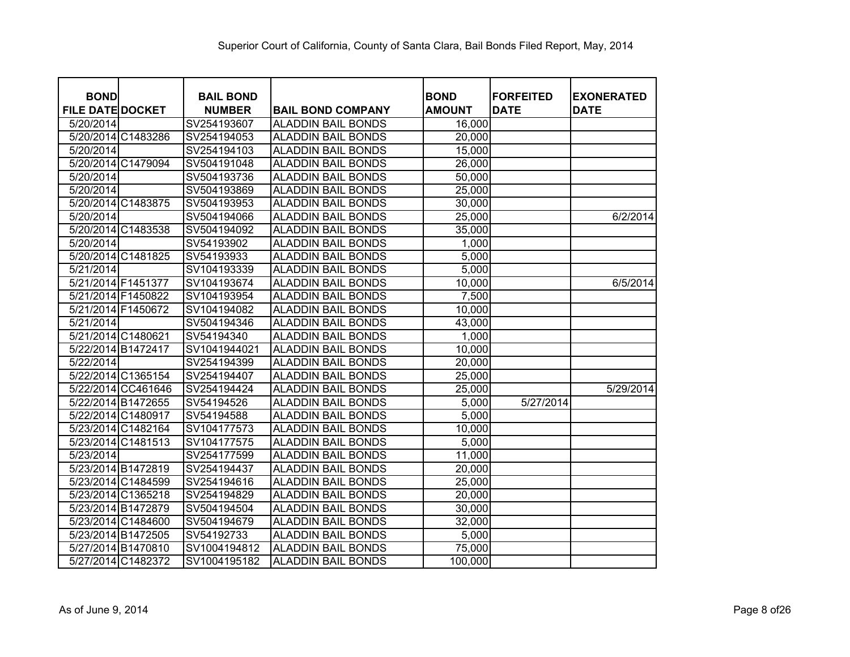| <b>BOND</b>             |                    | <b>BAIL BOND</b> |                           | <b>BOND</b>   | <b>FORFEITED</b> | <b>EXONERATED</b> |
|-------------------------|--------------------|------------------|---------------------------|---------------|------------------|-------------------|
| <b>FILE DATE DOCKET</b> |                    | <b>NUMBER</b>    | <b>BAIL BOND COMPANY</b>  | <b>AMOUNT</b> | <b>DATE</b>      | <b>DATE</b>       |
| 5/20/2014               |                    | SV254193607      | <b>ALADDIN BAIL BONDS</b> | 16,000        |                  |                   |
| 5/20/2014 C1483286      |                    | SV254194053      | <b>ALADDIN BAIL BONDS</b> | 20,000        |                  |                   |
| 5/20/2014               |                    | SV254194103      | <b>ALADDIN BAIL BONDS</b> | 15,000        |                  |                   |
| 5/20/2014 C1479094      |                    | SV504191048      | <b>ALADDIN BAIL BONDS</b> | 26,000        |                  |                   |
| 5/20/2014               |                    | SV504193736      | <b>ALADDIN BAIL BONDS</b> | 50,000        |                  |                   |
| 5/20/2014               |                    | SV504193869      | <b>ALADDIN BAIL BONDS</b> | 25,000        |                  |                   |
| 5/20/2014 C1483875      |                    | SV504193953      | <b>ALADDIN BAIL BONDS</b> | 30,000        |                  |                   |
| 5/20/2014               |                    | SV504194066      | <b>ALADDIN BAIL BONDS</b> | 25,000        |                  | 6/2/2014          |
| 5/20/2014 C1483538      |                    | SV504194092      | <b>ALADDIN BAIL BONDS</b> | 35,000        |                  |                   |
| 5/20/2014               |                    | SV54193902       | <b>ALADDIN BAIL BONDS</b> | 1,000         |                  |                   |
| 5/20/2014 C1481825      |                    | SV54193933       | <b>ALADDIN BAIL BONDS</b> | 5,000         |                  |                   |
| 5/21/2014               |                    | SV104193339      | <b>ALADDIN BAIL BONDS</b> | 5,000         |                  |                   |
| 5/21/2014 F1451377      |                    | SV104193674      | <b>ALADDIN BAIL BONDS</b> | 10,000        |                  | 6/5/2014          |
| 5/21/2014 F1450822      |                    | SV104193954      | <b>ALADDIN BAIL BONDS</b> | 7,500         |                  |                   |
| 5/21/2014 F1450672      |                    | SV104194082      | <b>ALADDIN BAIL BONDS</b> | 10,000        |                  |                   |
| 5/21/2014               |                    | SV504194346      | <b>ALADDIN BAIL BONDS</b> | 43,000        |                  |                   |
| 5/21/2014 C1480621      |                    | SV54194340       | <b>ALADDIN BAIL BONDS</b> | 1,000         |                  |                   |
| 5/22/2014 B1472417      |                    | SV1041944021     | <b>ALADDIN BAIL BONDS</b> | 10,000        |                  |                   |
| 5/22/2014               |                    | SV254194399      | <b>ALADDIN BAIL BONDS</b> | 20,000        |                  |                   |
| 5/22/2014 C1365154      |                    | SV254194407      | <b>ALADDIN BAIL BONDS</b> | 25,000        |                  |                   |
|                         | 5/22/2014 CC461646 | SV254194424      | <b>ALADDIN BAIL BONDS</b> | 25,000        |                  | 5/29/2014         |
| 5/22/2014 B1472655      |                    | SV54194526       | <b>ALADDIN BAIL BONDS</b> | 5,000         | 5/27/2014        |                   |
| 5/22/2014 C1480917      |                    | SV54194588       | <b>ALADDIN BAIL BONDS</b> | 5,000         |                  |                   |
| 5/23/2014 C1482164      |                    | SV104177573      | <b>ALADDIN BAIL BONDS</b> | 10,000        |                  |                   |
| 5/23/2014 C1481513      |                    | SV104177575      | <b>ALADDIN BAIL BONDS</b> | 5,000         |                  |                   |
| 5/23/2014               |                    | SV254177599      | <b>ALADDIN BAIL BONDS</b> | 11,000        |                  |                   |
| 5/23/2014 B1472819      |                    | SV254194437      | <b>ALADDIN BAIL BONDS</b> | 20,000        |                  |                   |
| 5/23/2014 C1484599      |                    | SV254194616      | <b>ALADDIN BAIL BONDS</b> | 25,000        |                  |                   |
| 5/23/2014 C1365218      |                    | SV254194829      | <b>ALADDIN BAIL BONDS</b> | 20,000        |                  |                   |
| 5/23/2014 B1472879      |                    | SV504194504      | <b>ALADDIN BAIL BONDS</b> | 30,000        |                  |                   |
| 5/23/2014 C1484600      |                    | SV504194679      | <b>ALADDIN BAIL BONDS</b> | 32,000        |                  |                   |
| 5/23/2014 B1472505      |                    | SV54192733       | <b>ALADDIN BAIL BONDS</b> | 5,000         |                  |                   |
| 5/27/2014 B1470810      |                    | SV1004194812     | <b>ALADDIN BAIL BONDS</b> | 75,000        |                  |                   |
|                         | 5/27/2014 C1482372 | SV1004195182     | <b>ALADDIN BAIL BONDS</b> | 100,000       |                  |                   |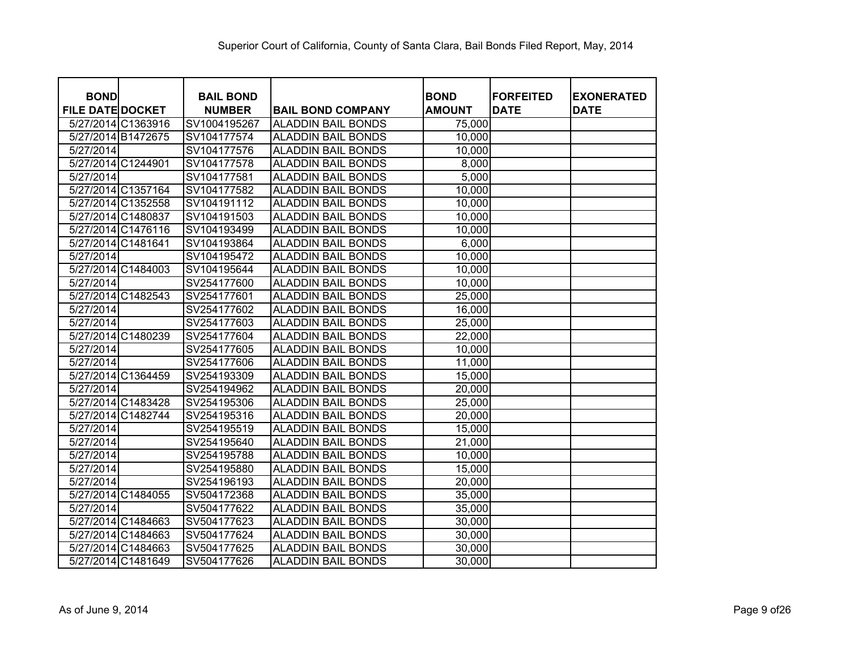| <b>BOND</b>             | <b>BAIL BOND</b> |                           | <b>BOND</b>   | <b>FORFEITED</b> | <b>EXONERATED</b> |
|-------------------------|------------------|---------------------------|---------------|------------------|-------------------|
| <b>FILE DATE DOCKET</b> | <b>NUMBER</b>    | <b>BAIL BOND COMPANY</b>  | <b>AMOUNT</b> | <b>DATE</b>      | <b>DATE</b>       |
| 5/27/2014 C1363916      | SV1004195267     | <b>ALADDIN BAIL BONDS</b> | 75,000        |                  |                   |
| 5/27/2014 B1472675      | SV104177574      | <b>ALADDIN BAIL BONDS</b> | 10,000        |                  |                   |
| 5/27/2014               | SV104177576      | <b>ALADDIN BAIL BONDS</b> | 10,000        |                  |                   |
| 5/27/2014 C1244901      | SV104177578      | <b>ALADDIN BAIL BONDS</b> | 8,000         |                  |                   |
| 5/27/2014               | SV104177581      | <b>ALADDIN BAIL BONDS</b> | 5,000         |                  |                   |
| 5/27/2014 C1357164      | SV104177582      | <b>ALADDIN BAIL BONDS</b> | 10,000        |                  |                   |
| 5/27/2014 C1352558      | SV104191112      | <b>ALADDIN BAIL BONDS</b> | 10,000        |                  |                   |
| 5/27/2014 C1480837      | SV104191503      | <b>ALADDIN BAIL BONDS</b> | 10,000        |                  |                   |
| 5/27/2014 C1476116      | SV104193499      | <b>ALADDIN BAIL BONDS</b> | 10,000        |                  |                   |
| 5/27/2014 C1481641      | SV104193864      | <b>ALADDIN BAIL BONDS</b> | 6,000         |                  |                   |
| 5/27/2014               | SV104195472      | <b>ALADDIN BAIL BONDS</b> | 10,000        |                  |                   |
| 5/27/2014 C1484003      | SV104195644      | <b>ALADDIN BAIL BONDS</b> | 10,000        |                  |                   |
| 5/27/2014               | SV254177600      | <b>ALADDIN BAIL BONDS</b> | 10,000        |                  |                   |
| 5/27/2014 C1482543      | SV254177601      | <b>ALADDIN BAIL BONDS</b> | 25,000        |                  |                   |
| 5/27/2014               | SV254177602      | <b>ALADDIN BAIL BONDS</b> | 16,000        |                  |                   |
| 5/27/2014               | SV254177603      | <b>ALADDIN BAIL BONDS</b> | 25,000        |                  |                   |
| 5/27/2014 C1480239      | SV254177604      | <b>ALADDIN BAIL BONDS</b> | 22,000        |                  |                   |
| 5/27/2014               | SV254177605      | <b>ALADDIN BAIL BONDS</b> | 10,000        |                  |                   |
| 5/27/2014               | SV254177606      | <b>ALADDIN BAIL BONDS</b> | 11,000        |                  |                   |
| 5/27/2014 C1364459      | SV254193309      | <b>ALADDIN BAIL BONDS</b> | 15,000        |                  |                   |
| 5/27/2014               | SV254194962      | <b>ALADDIN BAIL BONDS</b> | 20,000        |                  |                   |
| 5/27/2014 C1483428      | SV254195306      | <b>ALADDIN BAIL BONDS</b> | 25,000        |                  |                   |
| 5/27/2014 C1482744      | SV254195316      | <b>ALADDIN BAIL BONDS</b> | 20,000        |                  |                   |
| 5/27/2014               | SV254195519      | <b>ALADDIN BAIL BONDS</b> | 15,000        |                  |                   |
| 5/27/2014               | SV254195640      | <b>ALADDIN BAIL BONDS</b> | 21,000        |                  |                   |
| 5/27/2014               | SV254195788      | <b>ALADDIN BAIL BONDS</b> | 10,000        |                  |                   |
| 5/27/2014               | SV254195880      | <b>ALADDIN BAIL BONDS</b> | 15,000        |                  |                   |
| 5/27/2014               | SV254196193      | <b>ALADDIN BAIL BONDS</b> | 20,000        |                  |                   |
| 5/27/2014 C1484055      | SV504172368      | <b>ALADDIN BAIL BONDS</b> | 35,000        |                  |                   |
| 5/27/2014               | SV504177622      | <b>ALADDIN BAIL BONDS</b> | 35,000        |                  |                   |
| 5/27/2014 C1484663      | SV504177623      | <b>ALADDIN BAIL BONDS</b> | 30,000        |                  |                   |
| 5/27/2014 C1484663      | SV504177624      | <b>ALADDIN BAIL BONDS</b> | 30,000        |                  |                   |
| 5/27/2014 C1484663      | SV504177625      | <b>ALADDIN BAIL BONDS</b> | 30,000        |                  |                   |
| 5/27/2014 C1481649      | SV504177626      | <b>ALADDIN BAIL BONDS</b> | 30,000        |                  |                   |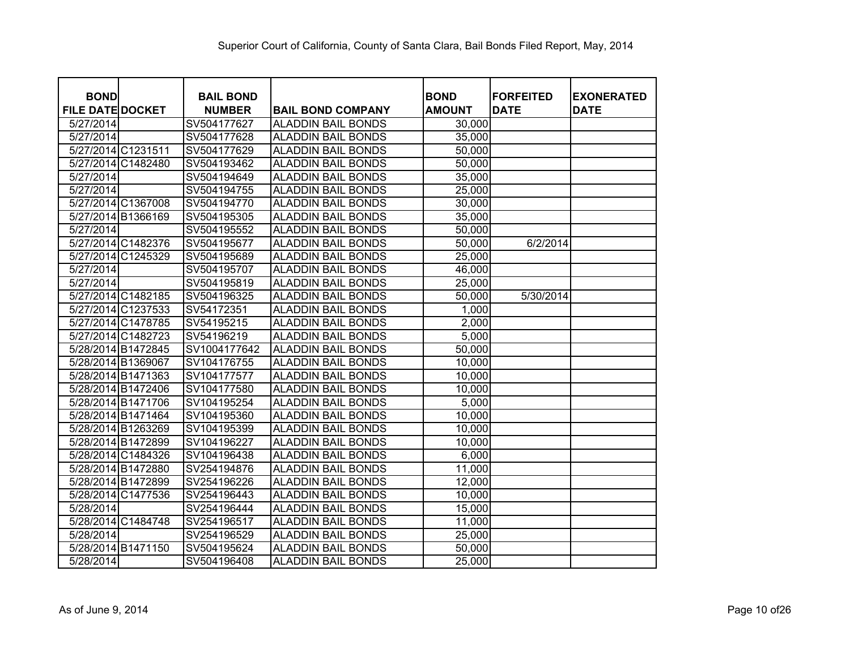|                                        |                    | <b>BAIL BOND</b> |                           | <b>BOND</b>   | <b>FORFEITED</b> |                                  |
|----------------------------------------|--------------------|------------------|---------------------------|---------------|------------------|----------------------------------|
| <b>BOND</b><br><b>FILE DATE DOCKET</b> |                    | <b>NUMBER</b>    | <b>BAIL BOND COMPANY</b>  | <b>AMOUNT</b> | <b>DATE</b>      | <b>EXONERATED</b><br><b>DATE</b> |
| 5/27/2014                              |                    | SV504177627      | <b>ALADDIN BAIL BONDS</b> | 30,000        |                  |                                  |
| 5/27/2014                              |                    | SV504177628      | <b>ALADDIN BAIL BONDS</b> | 35,000        |                  |                                  |
| 5/27/2014 C1231511                     |                    | SV504177629      | <b>ALADDIN BAIL BONDS</b> | 50,000        |                  |                                  |
| 5/27/2014 C1482480                     |                    | SV504193462      | <b>ALADDIN BAIL BONDS</b> | 50,000        |                  |                                  |
| 5/27/2014                              |                    | SV504194649      | <b>ALADDIN BAIL BONDS</b> | 35,000        |                  |                                  |
| 5/27/2014                              |                    | SV504194755      | <b>ALADDIN BAIL BONDS</b> | 25,000        |                  |                                  |
|                                        | 5/27/2014 C1367008 | SV504194770      | <b>ALADDIN BAIL BONDS</b> | 30,000        |                  |                                  |
| 5/27/2014 B1366169                     |                    | SV504195305      | <b>ALADDIN BAIL BONDS</b> | 35,000        |                  |                                  |
| 5/27/2014                              |                    | SV504195552      | <b>ALADDIN BAIL BONDS</b> | 50,000        |                  |                                  |
|                                        | 5/27/2014 C1482376 | SV504195677      | <b>ALADDIN BAIL BONDS</b> | 50,000        | 6/2/2014         |                                  |
|                                        | 5/27/2014 C1245329 | SV504195689      | <b>ALADDIN BAIL BONDS</b> | 25,000        |                  |                                  |
| 5/27/2014                              |                    | SV504195707      | <b>ALADDIN BAIL BONDS</b> | 46,000        |                  |                                  |
| 5/27/2014                              |                    | SV504195819      | <b>ALADDIN BAIL BONDS</b> | 25,000        |                  |                                  |
|                                        | 5/27/2014 C1482185 | SV504196325      | <b>ALADDIN BAIL BONDS</b> | 50,000        | 5/30/2014        |                                  |
|                                        | 5/27/2014 C1237533 | SV54172351       | <b>ALADDIN BAIL BONDS</b> | 1,000         |                  |                                  |
|                                        | 5/27/2014 C1478785 | SV54195215       | <b>ALADDIN BAIL BONDS</b> | 2,000         |                  |                                  |
|                                        | 5/27/2014 C1482723 | SV54196219       | <b>ALADDIN BAIL BONDS</b> | 5,000         |                  |                                  |
| 5/28/2014 B1472845                     |                    | SV1004177642     | <b>ALADDIN BAIL BONDS</b> | 50,000        |                  |                                  |
| 5/28/2014 B1369067                     |                    | SV104176755      | <b>ALADDIN BAIL BONDS</b> | 10,000        |                  |                                  |
| 5/28/2014 B1471363                     |                    | SV104177577      | <b>ALADDIN BAIL BONDS</b> | 10,000        |                  |                                  |
| 5/28/2014 B1472406                     |                    | SV104177580      | <b>ALADDIN BAIL BONDS</b> | 10,000        |                  |                                  |
| 5/28/2014 B1471706                     |                    | SV104195254      | <b>ALADDIN BAIL BONDS</b> | 5,000         |                  |                                  |
| 5/28/2014 B1471464                     |                    | SV104195360      | <b>ALADDIN BAIL BONDS</b> | 10,000        |                  |                                  |
| 5/28/2014 B1263269                     |                    | SV104195399      | <b>ALADDIN BAIL BONDS</b> | 10,000        |                  |                                  |
| 5/28/2014 B1472899                     |                    | SV104196227      | <b>ALADDIN BAIL BONDS</b> | 10,000        |                  |                                  |
|                                        | 5/28/2014 C1484326 | SV104196438      | <b>ALADDIN BAIL BONDS</b> | 6,000         |                  |                                  |
| 5/28/2014 B1472880                     |                    | SV254194876      | <b>ALADDIN BAIL BONDS</b> | 11,000        |                  |                                  |
| 5/28/2014 B1472899                     |                    | SV254196226      | <b>ALADDIN BAIL BONDS</b> | 12,000        |                  |                                  |
| 5/28/2014 C1477536                     |                    | SV254196443      | <b>ALADDIN BAIL BONDS</b> | 10,000        |                  |                                  |
| 5/28/2014                              |                    | SV254196444      | <b>ALADDIN BAIL BONDS</b> | 15,000        |                  |                                  |
|                                        | 5/28/2014 C1484748 | SV254196517      | <b>ALADDIN BAIL BONDS</b> | 11,000        |                  |                                  |
| 5/28/2014                              |                    | SV254196529      | <b>ALADDIN BAIL BONDS</b> | 25,000        |                  |                                  |
| 5/28/2014 B1471150                     |                    | SV504195624      | <b>ALADDIN BAIL BONDS</b> | 50,000        |                  |                                  |
| 5/28/2014                              |                    | SV504196408      | <b>ALADDIN BAIL BONDS</b> | 25,000        |                  |                                  |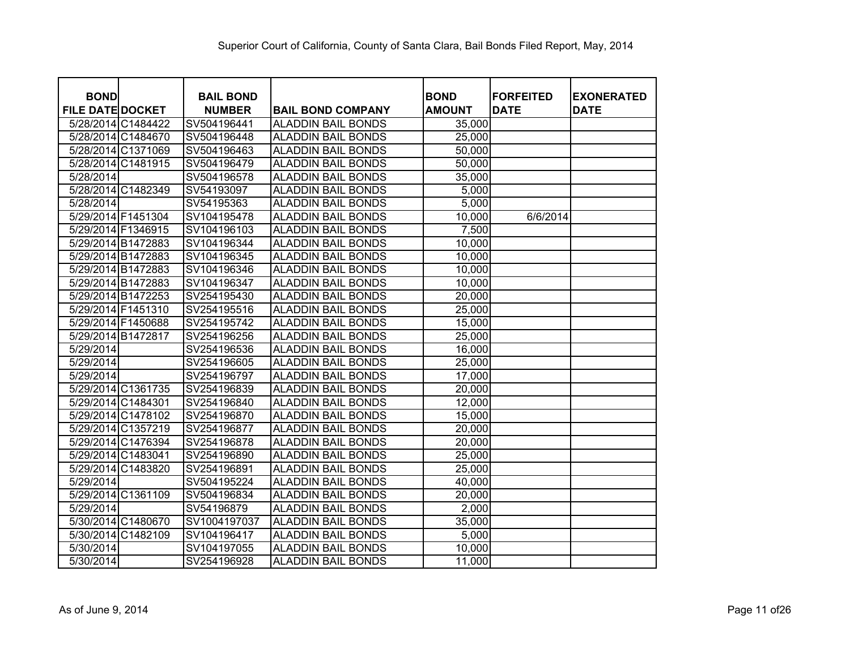| <b>BOND</b>             |                                          | <b>BAIL BOND</b>           |                                                        |                              | <b>FORFEITED</b> |                                  |
|-------------------------|------------------------------------------|----------------------------|--------------------------------------------------------|------------------------------|------------------|----------------------------------|
| <b>FILE DATE DOCKET</b> |                                          |                            |                                                        | <b>BOND</b><br><b>AMOUNT</b> | <b>DATE</b>      | <b>EXONERATED</b><br><b>DATE</b> |
|                         |                                          | <b>NUMBER</b>              | <b>BAIL BOND COMPANY</b>                               |                              |                  |                                  |
|                         | 5/28/2014 C1484422<br>5/28/2014 C1484670 | SV504196441<br>SV504196448 | <b>ALADDIN BAIL BONDS</b><br><b>ALADDIN BAIL BONDS</b> | 35,000<br>25,000             |                  |                                  |
|                         | 5/28/2014 C1371069                       | SV504196463                | <b>ALADDIN BAIL BONDS</b>                              | 50,000                       |                  |                                  |
|                         | 5/28/2014 C1481915                       | SV504196479                | <b>ALADDIN BAIL BONDS</b>                              | 50,000                       |                  |                                  |
| 5/28/2014               |                                          | SV504196578                | <b>ALADDIN BAIL BONDS</b>                              |                              |                  |                                  |
|                         |                                          |                            |                                                        | 35,000                       |                  |                                  |
|                         | 5/28/2014 C1482349                       | SV54193097                 | <b>ALADDIN BAIL BONDS</b>                              | 5,000                        |                  |                                  |
| 5/28/2014               |                                          | SV54195363                 | <b>ALADDIN BAIL BONDS</b>                              | 5,000                        |                  |                                  |
| 5/29/2014 F1451304      |                                          | SV104195478                | <b>ALADDIN BAIL BONDS</b>                              | 10,000                       | 6/6/2014         |                                  |
| 5/29/2014 F1346915      |                                          | SV104196103                | <b>ALADDIN BAIL BONDS</b>                              | 7,500                        |                  |                                  |
| 5/29/2014 B1472883      |                                          | SV104196344                | <b>ALADDIN BAIL BONDS</b>                              | 10,000                       |                  |                                  |
| 5/29/2014 B1472883      |                                          | SV104196345                | <b>ALADDIN BAIL BONDS</b>                              | 10,000                       |                  |                                  |
| 5/29/2014 B1472883      |                                          | SV104196346                | <b>ALADDIN BAIL BONDS</b>                              | 10,000                       |                  |                                  |
| 5/29/2014 B1472883      |                                          | SV104196347                | <b>ALADDIN BAIL BONDS</b>                              | 10,000                       |                  |                                  |
| 5/29/2014 B1472253      |                                          | SV254195430                | <b>ALADDIN BAIL BONDS</b>                              | 20,000                       |                  |                                  |
| 5/29/2014 F1451310      |                                          | SV254195516                | <b>ALADDIN BAIL BONDS</b>                              | 25,000                       |                  |                                  |
| 5/29/2014 F1450688      |                                          | SV254195742                | <b>ALADDIN BAIL BONDS</b>                              | 15,000                       |                  |                                  |
| 5/29/2014 B1472817      |                                          | SV254196256                | <b>ALADDIN BAIL BONDS</b>                              | 25,000                       |                  |                                  |
| 5/29/2014               |                                          | SV254196536                | <b>ALADDIN BAIL BONDS</b>                              | 16,000                       |                  |                                  |
| 5/29/2014               |                                          | SV254196605                | <b>ALADDIN BAIL BONDS</b>                              | 25,000                       |                  |                                  |
| 5/29/2014               |                                          | SV254196797                | <b>ALADDIN BAIL BONDS</b>                              | 17,000                       |                  |                                  |
|                         | 5/29/2014 C1361735                       | SV254196839                | <b>ALADDIN BAIL BONDS</b>                              | 20,000                       |                  |                                  |
| 5/29/2014 C1484301      |                                          | SV254196840                | <b>ALADDIN BAIL BONDS</b>                              | 12,000                       |                  |                                  |
|                         | 5/29/2014 C1478102                       | SV254196870                | <b>ALADDIN BAIL BONDS</b>                              | 15,000                       |                  |                                  |
|                         | 5/29/2014 C1357219                       | SV254196877                | <b>ALADDIN BAIL BONDS</b>                              | 20,000                       |                  |                                  |
|                         | 5/29/2014 C1476394                       | SV254196878                | <b>ALADDIN BAIL BONDS</b>                              | 20,000                       |                  |                                  |
| 5/29/2014 C1483041      |                                          | SV254196890                | <b>ALADDIN BAIL BONDS</b>                              | 25,000                       |                  |                                  |
|                         | 5/29/2014 C1483820                       | SV254196891                | <b>ALADDIN BAIL BONDS</b>                              | 25,000                       |                  |                                  |
| 5/29/2014               |                                          | SV504195224                | <b>ALADDIN BAIL BONDS</b>                              | 40,000                       |                  |                                  |
|                         | 5/29/2014 C1361109                       | SV504196834                | <b>ALADDIN BAIL BONDS</b>                              | 20,000                       |                  |                                  |
| 5/29/2014               |                                          | SV54196879                 | <b>ALADDIN BAIL BONDS</b>                              | 2,000                        |                  |                                  |
|                         | 5/30/2014 C1480670                       | SV1004197037               | <b>ALADDIN BAIL BONDS</b>                              | 35,000                       |                  |                                  |
|                         | 5/30/2014 C1482109                       | SV104196417                | <b>ALADDIN BAIL BONDS</b>                              | 5,000                        |                  |                                  |
| 5/30/2014               |                                          | SV104197055                | <b>ALADDIN BAIL BONDS</b>                              | 10,000                       |                  |                                  |
| 5/30/2014               |                                          | SV254196928                | <b>ALADDIN BAIL BONDS</b>                              | 11,000                       |                  |                                  |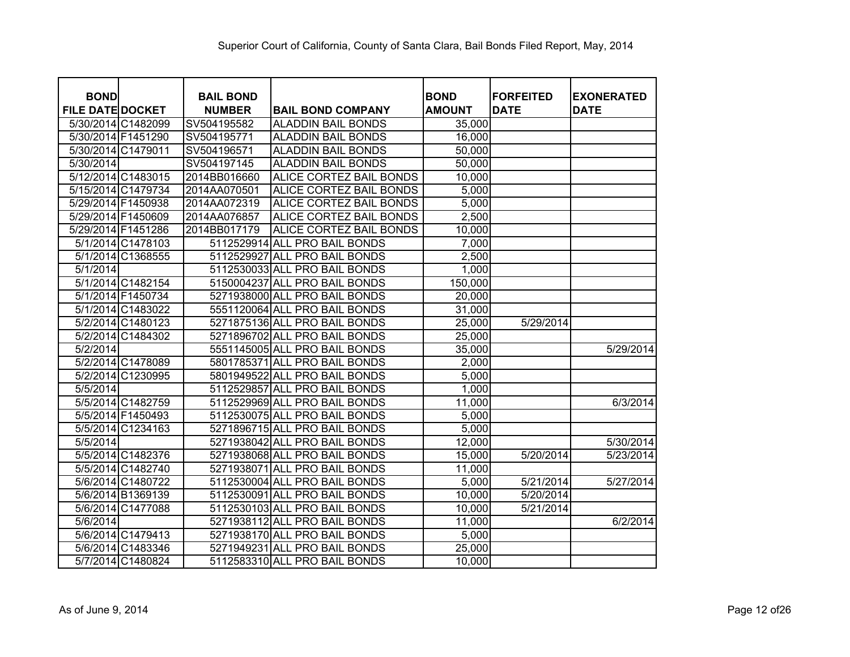| <b>BOND</b>             |                   | <b>BAIL BOND</b> |                                | <b>BOND</b>   | <b>FORFEITED</b> | <b>EXONERATED</b> |
|-------------------------|-------------------|------------------|--------------------------------|---------------|------------------|-------------------|
| <b>FILE DATE DOCKET</b> |                   | <b>NUMBER</b>    | <b>BAIL BOND COMPANY</b>       | <b>AMOUNT</b> | <b>DATE</b>      | <b>DATE</b>       |
| 5/30/2014 C1482099      |                   | SV504195582      | <b>ALADDIN BAIL BONDS</b>      | 35,000        |                  |                   |
| 5/30/2014 F1451290      |                   | SV504195771      | <b>ALADDIN BAIL BONDS</b>      | 16,000        |                  |                   |
| 5/30/2014 C1479011      |                   | SV504196571      | <b>ALADDIN BAIL BONDS</b>      | 50,000        |                  |                   |
| 5/30/2014               |                   | SV504197145      | <b>ALADDIN BAIL BONDS</b>      | 50,000        |                  |                   |
| 5/12/2014 C1483015      |                   | 2014BB016660     | <b>ALICE CORTEZ BAIL BONDS</b> | 10,000        |                  |                   |
| 5/15/2014 C1479734      |                   | 2014AA070501     | <b>ALICE CORTEZ BAIL BONDS</b> | 5,000         |                  |                   |
| 5/29/2014 F1450938      |                   | 2014AA072319     | ALICE CORTEZ BAIL BONDS        | 5,000         |                  |                   |
| 5/29/2014 F1450609      |                   | 2014AA076857     | ALICE CORTEZ BAIL BONDS        | 2,500         |                  |                   |
| 5/29/2014 F1451286      |                   | 2014BB017179     | ALICE CORTEZ BAIL BONDS        | 10,000        |                  |                   |
|                         | 5/1/2014 C1478103 |                  | 5112529914 ALL PRO BAIL BONDS  | 7,000         |                  |                   |
|                         | 5/1/2014 C1368555 |                  | 5112529927 ALL PRO BAIL BONDS  | 2,500         |                  |                   |
| 5/1/2014                |                   |                  | 5112530033 ALL PRO BAIL BONDS  | 1,000         |                  |                   |
|                         | 5/1/2014 C1482154 |                  | 5150004237 ALL PRO BAIL BONDS  | 150,000       |                  |                   |
|                         | 5/1/2014 F1450734 |                  | 5271938000 ALL PRO BAIL BONDS  | 20,000        |                  |                   |
|                         | 5/1/2014 C1483022 |                  | 5551120064 ALL PRO BAIL BONDS  | 31,000        |                  |                   |
|                         | 5/2/2014 C1480123 |                  | 5271875136 ALL PRO BAIL BONDS  | 25,000        | 5/29/2014        |                   |
|                         | 5/2/2014 C1484302 |                  | 5271896702 ALL PRO BAIL BONDS  | 25,000        |                  |                   |
| 5/2/2014                |                   |                  | 5551145005 ALL PRO BAIL BONDS  | 35,000        |                  | 5/29/2014         |
|                         | 5/2/2014 C1478089 |                  | 5801785371 ALL PRO BAIL BONDS  | 2,000         |                  |                   |
|                         | 5/2/2014 C1230995 |                  | 5801949522 ALL PRO BAIL BONDS  | 5,000         |                  |                   |
| 5/5/2014                |                   |                  | 5112529857 ALL PRO BAIL BONDS  | 1,000         |                  |                   |
|                         | 5/5/2014 C1482759 |                  | 5112529969 ALL PRO BAIL BONDS  | 11,000        |                  | 6/3/2014          |
|                         | 5/5/2014 F1450493 |                  | 5112530075 ALL PRO BAIL BONDS  | 5,000         |                  |                   |
|                         | 5/5/2014 C1234163 |                  | 5271896715 ALL PRO BAIL BONDS  | 5,000         |                  |                   |
| 5/5/2014                |                   |                  | 5271938042 ALL PRO BAIL BONDS  | 12,000        |                  | 5/30/2014         |
|                         | 5/5/2014 C1482376 |                  | 5271938068 ALL PRO BAIL BONDS  | 15,000        | 5/20/2014        | 5/23/2014         |
|                         | 5/5/2014 C1482740 |                  | 5271938071 ALL PRO BAIL BONDS  | 11,000        |                  |                   |
|                         | 5/6/2014 C1480722 |                  | 5112530004 ALL PRO BAIL BONDS  | 5,000         | 5/21/2014        | 5/27/2014         |
|                         | 5/6/2014 B1369139 |                  | 5112530091 ALL PRO BAIL BONDS  | 10,000        | 5/20/2014        |                   |
|                         | 5/6/2014 C1477088 |                  | 5112530103 ALL PRO BAIL BONDS  | 10,000        | 5/21/2014        |                   |
| 5/6/2014                |                   |                  | 5271938112 ALL PRO BAIL BONDS  | 11,000        |                  | 6/2/2014          |
|                         | 5/6/2014 C1479413 |                  | 5271938170 ALL PRO BAIL BONDS  | 5,000         |                  |                   |
|                         | 5/6/2014 C1483346 |                  | 5271949231 ALL PRO BAIL BONDS  | 25,000        |                  |                   |
|                         | 5/7/2014 C1480824 |                  | 5112583310 ALL PRO BAIL BONDS  | 10,000        |                  |                   |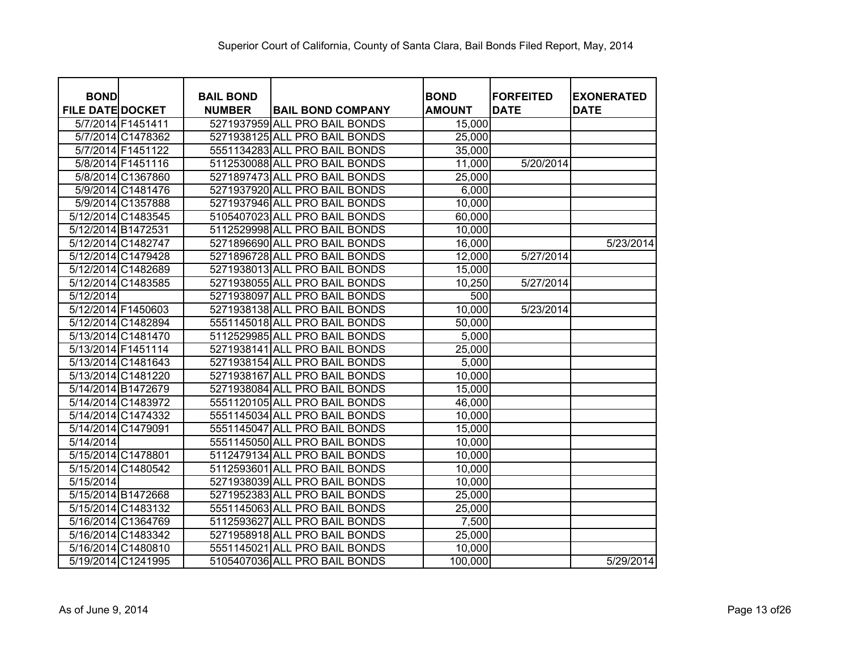| <b>BOND</b>             |                    | <b>BAIL BOND</b> |                               | <b>BOND</b>   | <b>FORFEITED</b> | <b>EXONERATED</b> |
|-------------------------|--------------------|------------------|-------------------------------|---------------|------------------|-------------------|
| <b>FILE DATE DOCKET</b> |                    | <b>NUMBER</b>    | <b>BAIL BOND COMPANY</b>      | <b>AMOUNT</b> | <b>DATE</b>      | <b>DATE</b>       |
|                         | 5/7/2014 F1451411  |                  | 5271937959 ALL PRO BAIL BONDS | 15,000        |                  |                   |
|                         | 5/7/2014 C1478362  |                  | 5271938125 ALL PRO BAIL BONDS | 25,000        |                  |                   |
|                         | 5/7/2014 F1451122  |                  | 5551134283 ALL PRO BAIL BONDS | 35,000        |                  |                   |
|                         | 5/8/2014 F1451116  |                  | 5112530088 ALL PRO BAIL BONDS | 11,000        | 5/20/2014        |                   |
|                         | 5/8/2014 C1367860  |                  | 5271897473 ALL PRO BAIL BONDS | 25,000        |                  |                   |
|                         | 5/9/2014 C1481476  |                  | 5271937920 ALL PRO BAIL BONDS | 6,000         |                  |                   |
|                         | 5/9/2014 C1357888  |                  | 5271937946 ALL PRO BAIL BONDS | 10,000        |                  |                   |
|                         | 5/12/2014 C1483545 |                  | 5105407023 ALL PRO BAIL BONDS | 60,000        |                  |                   |
| 5/12/2014 B1472531      |                    |                  | 5112529998 ALL PRO BAIL BONDS | 10,000        |                  |                   |
|                         | 5/12/2014 C1482747 |                  | 5271896690 ALL PRO BAIL BONDS | 16,000        |                  | 5/23/2014         |
|                         | 5/12/2014 C1479428 |                  | 5271896728 ALL PRO BAIL BONDS | 12,000        | 5/27/2014        |                   |
|                         | 5/12/2014 C1482689 |                  | 5271938013 ALL PRO BAIL BONDS | 15,000        |                  |                   |
|                         | 5/12/2014 C1483585 |                  | 5271938055 ALL PRO BAIL BONDS | 10,250        | 5/27/2014        |                   |
| 5/12/2014               |                    |                  | 5271938097 ALL PRO BAIL BONDS | 500           |                  |                   |
| 5/12/2014 F1450603      |                    |                  | 5271938138 ALL PRO BAIL BONDS | 10,000        | 5/23/2014        |                   |
|                         | 5/12/2014 C1482894 |                  | 5551145018 ALL PRO BAIL BONDS | 50,000        |                  |                   |
|                         | 5/13/2014 C1481470 |                  | 5112529985 ALL PRO BAIL BONDS | 5,000         |                  |                   |
|                         | 5/13/2014 F1451114 |                  | 5271938141 ALL PRO BAIL BONDS | 25,000        |                  |                   |
|                         | 5/13/2014 C1481643 |                  | 5271938154 ALL PRO BAIL BONDS | 5,000         |                  |                   |
|                         | 5/13/2014 C1481220 |                  | 5271938167 ALL PRO BAIL BONDS | 10,000        |                  |                   |
|                         | 5/14/2014 B1472679 |                  | 5271938084 ALL PRO BAIL BONDS | 15,000        |                  |                   |
|                         | 5/14/2014 C1483972 |                  | 5551120105 ALL PRO BAIL BONDS | 46,000        |                  |                   |
|                         | 5/14/2014 C1474332 |                  | 5551145034 ALL PRO BAIL BONDS | 10,000        |                  |                   |
| 5/14/2014 C1479091      |                    |                  | 5551145047 ALL PRO BAIL BONDS | 15,000        |                  |                   |
| 5/14/2014               |                    |                  | 5551145050 ALL PRO BAIL BONDS | 10,000        |                  |                   |
| 5/15/2014 C1478801      |                    |                  | 5112479134 ALL PRO BAIL BONDS | 10,000        |                  |                   |
|                         | 5/15/2014 C1480542 |                  | 5112593601 ALL PRO BAIL BONDS | 10,000        |                  |                   |
| 5/15/2014               |                    |                  | 5271938039 ALL PRO BAIL BONDS | 10,000        |                  |                   |
|                         | 5/15/2014 B1472668 |                  | 5271952383 ALL PRO BAIL BONDS | 25,000        |                  |                   |
|                         | 5/15/2014 C1483132 |                  | 5551145063 ALL PRO BAIL BONDS | 25,000        |                  |                   |
|                         | 5/16/2014 C1364769 |                  | 5112593627 ALL PRO BAIL BONDS | 7,500         |                  |                   |
|                         | 5/16/2014 C1483342 |                  | 5271958918 ALL PRO BAIL BONDS | 25,000        |                  |                   |
|                         | 5/16/2014 C1480810 |                  | 5551145021 ALL PRO BAIL BONDS | 10,000        |                  |                   |
|                         | 5/19/2014 C1241995 |                  | 5105407036 ALL PRO BAIL BONDS | 100,000       |                  | 5/29/2014         |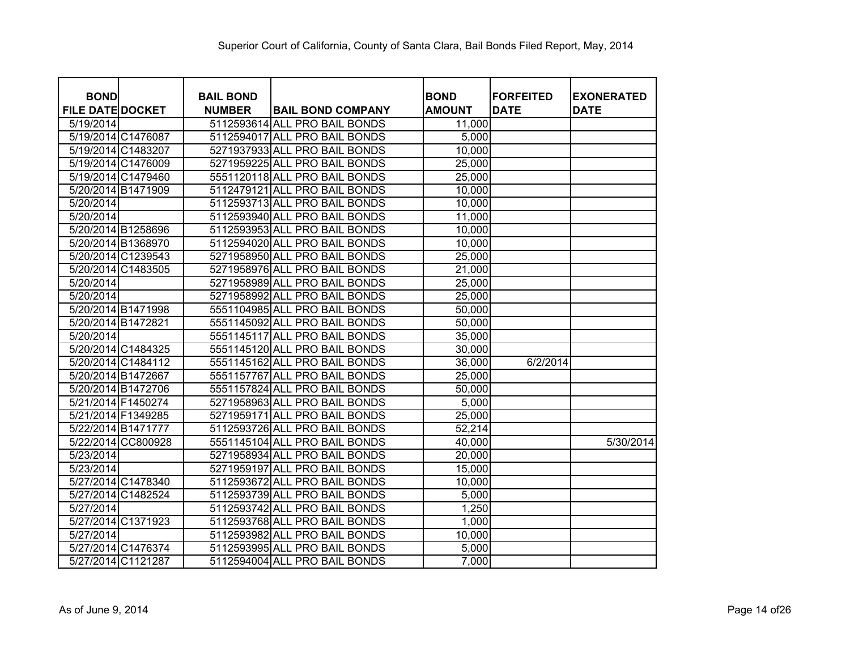| <b>BOND</b>             | <b>BAIL BOND</b> |                               | <b>BOND</b>   | <b>FORFEITED</b> | <b>EXONERATED</b> |
|-------------------------|------------------|-------------------------------|---------------|------------------|-------------------|
| <b>FILE DATE DOCKET</b> | <b>NUMBER</b>    | <b>BAIL BOND COMPANY</b>      | <b>AMOUNT</b> | <b>DATE</b>      | <b>DATE</b>       |
| 5/19/2014               |                  | 5112593614 ALL PRO BAIL BONDS | 11,000        |                  |                   |
| 5/19/2014 C1476087      |                  | 5112594017 ALL PRO BAIL BONDS | 5,000         |                  |                   |
| 5/19/2014 C1483207      |                  | 5271937933 ALL PRO BAIL BONDS | 10,000        |                  |                   |
| 5/19/2014 C1476009      |                  | 5271959225 ALL PRO BAIL BONDS | 25,000        |                  |                   |
| 5/19/2014 C1479460      |                  | 5551120118 ALL PRO BAIL BONDS | 25,000        |                  |                   |
| 5/20/2014 B1471909      |                  | 5112479121 ALL PRO BAIL BONDS | 10,000        |                  |                   |
| 5/20/2014               |                  | 5112593713 ALL PRO BAIL BONDS | 10,000        |                  |                   |
| 5/20/2014               |                  | 5112593940 ALL PRO BAIL BONDS | 11,000        |                  |                   |
| 5/20/2014 B1258696      |                  | 5112593953 ALL PRO BAIL BONDS | 10,000        |                  |                   |
| 5/20/2014 B1368970      |                  | 5112594020 ALL PRO BAIL BONDS | 10,000        |                  |                   |
| 5/20/2014 C1239543      |                  | 5271958950 ALL PRO BAIL BONDS | 25,000        |                  |                   |
| 5/20/2014 C1483505      |                  | 5271958976 ALL PRO BAIL BONDS | 21,000        |                  |                   |
| 5/20/2014               |                  | 5271958989 ALL PRO BAIL BONDS | 25,000        |                  |                   |
| 5/20/2014               |                  | 5271958992 ALL PRO BAIL BONDS | 25,000        |                  |                   |
| 5/20/2014 B1471998      |                  | 5551104985 ALL PRO BAIL BONDS | 50,000        |                  |                   |
| 5/20/2014 B1472821      |                  | 5551145092 ALL PRO BAIL BONDS | 50,000        |                  |                   |
| 5/20/2014               |                  | 5551145117 ALL PRO BAIL BONDS | 35,000        |                  |                   |
| 5/20/2014 C1484325      |                  | 5551145120 ALL PRO BAIL BONDS | 30,000        |                  |                   |
| 5/20/2014 C1484112      |                  | 5551145162 ALL PRO BAIL BONDS | 36,000        | 6/2/2014         |                   |
| 5/20/2014 B1472667      |                  | 5551157767 ALL PRO BAIL BONDS | 25,000        |                  |                   |
| 5/20/2014 B1472706      |                  | 5551157824 ALL PRO BAIL BONDS | 50,000        |                  |                   |
| 5/21/2014 F1450274      |                  | 5271958963 ALL PRO BAIL BONDS | 5,000         |                  |                   |
| 5/21/2014 F1349285      |                  | 5271959171 ALL PRO BAIL BONDS | 25,000        |                  |                   |
| 5/22/2014 B1471777      |                  | 5112593726 ALL PRO BAIL BONDS | 52,214        |                  |                   |
| 5/22/2014 CC800928      |                  | 5551145104 ALL PRO BAIL BONDS | 40,000        |                  | 5/30/2014         |
| 5/23/2014               |                  | 5271958934 ALL PRO BAIL BONDS | 20,000        |                  |                   |
| 5/23/2014               |                  | 5271959197 ALL PRO BAIL BONDS | 15,000        |                  |                   |
| 5/27/2014 C1478340      |                  | 5112593672 ALL PRO BAIL BONDS | 10,000        |                  |                   |
| 5/27/2014 C1482524      |                  | 5112593739 ALL PRO BAIL BONDS | 5,000         |                  |                   |
| 5/27/2014               |                  | 5112593742 ALL PRO BAIL BONDS | 1,250         |                  |                   |
| 5/27/2014 C1371923      |                  | 5112593768 ALL PRO BAIL BONDS | 1,000         |                  |                   |
| 5/27/2014               |                  | 5112593982 ALL PRO BAIL BONDS | 10,000        |                  |                   |
| 5/27/2014 C1476374      |                  | 5112593995 ALL PRO BAIL BONDS | 5,000         |                  |                   |
| 5/27/2014 C1121287      |                  | 5112594004 ALL PRO BAIL BONDS | 7,000         |                  |                   |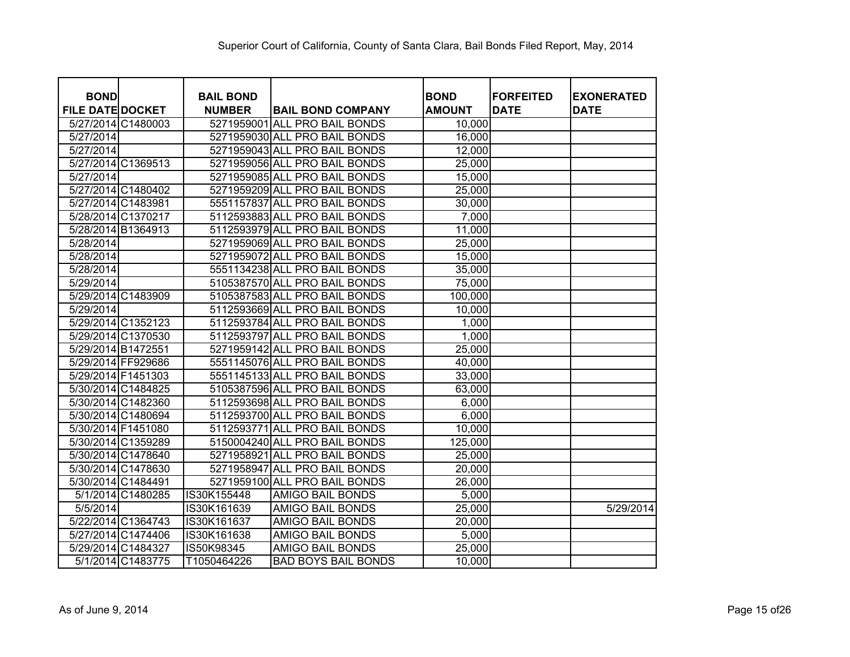| <b>BOND</b>             | <b>BAIL BOND</b> |                               | <b>BOND</b>   | <b>IFORFEITED</b> | <b>EXONERATED</b> |
|-------------------------|------------------|-------------------------------|---------------|-------------------|-------------------|
| <b>FILE DATE DOCKET</b> | <b>NUMBER</b>    | <b>BAIL BOND COMPANY</b>      | <b>AMOUNT</b> | <b>DATE</b>       | <b>DATE</b>       |
| 5/27/2014 C1480003      |                  | 5271959001 ALL PRO BAIL BONDS | 10,000        |                   |                   |
| 5/27/2014               |                  | 5271959030 ALL PRO BAIL BONDS | 16,000        |                   |                   |
| 5/27/2014               |                  | 5271959043 ALL PRO BAIL BONDS | 12,000        |                   |                   |
| 5/27/2014 C1369513      |                  | 5271959056 ALL PRO BAIL BONDS | 25,000        |                   |                   |
| 5/27/2014               |                  | 5271959085 ALL PRO BAIL BONDS | 15,000        |                   |                   |
| 5/27/2014 C1480402      |                  | 5271959209 ALL PRO BAIL BONDS | 25,000        |                   |                   |
| 5/27/2014 C1483981      |                  | 5551157837 ALL PRO BAIL BONDS | 30,000        |                   |                   |
| 5/28/2014 C1370217      |                  | 5112593883 ALL PRO BAIL BONDS | 7,000         |                   |                   |
| 5/28/2014 B1364913      |                  | 5112593979 ALL PRO BAIL BONDS | 11,000        |                   |                   |
| 5/28/2014               |                  | 5271959069 ALL PRO BAIL BONDS | 25,000        |                   |                   |
| 5/28/2014               |                  | 5271959072 ALL PRO BAIL BONDS | 15,000        |                   |                   |
| 5/28/2014               |                  | 5551134238 ALL PRO BAIL BONDS | 35,000        |                   |                   |
| 5/29/2014               |                  | 5105387570 ALL PRO BAIL BONDS | 75,000        |                   |                   |
| 5/29/2014 C1483909      |                  | 5105387583 ALL PRO BAIL BONDS | 100,000       |                   |                   |
| 5/29/2014               |                  | 5112593669 ALL PRO BAIL BONDS | 10,000        |                   |                   |
| 5/29/2014 C1352123      |                  | 5112593784 ALL PRO BAIL BONDS | 1,000         |                   |                   |
| 5/29/2014 C1370530      |                  | 5112593797 ALL PRO BAIL BONDS | 1,000         |                   |                   |
| 5/29/2014 B1472551      |                  | 5271959142 ALL PRO BAIL BONDS | 25,000        |                   |                   |
| 5/29/2014 FF929686      |                  | 5551145076 ALL PRO BAIL BONDS | 40,000        |                   |                   |
| 5/29/2014 F1451303      |                  | 5551145133 ALL PRO BAIL BONDS | 33,000        |                   |                   |
| 5/30/2014 C1484825      |                  | 5105387596 ALL PRO BAIL BONDS | 63,000        |                   |                   |
| 5/30/2014 C1482360      |                  | 5112593698 ALL PRO BAIL BONDS | 6,000         |                   |                   |
| 5/30/2014 C1480694      |                  | 5112593700 ALL PRO BAIL BONDS | 6,000         |                   |                   |
| 5/30/2014 F1451080      |                  | 5112593771 ALL PRO BAIL BONDS | 10,000        |                   |                   |
| 5/30/2014 C1359289      |                  | 5150004240 ALL PRO BAIL BONDS | 125,000       |                   |                   |
| 5/30/2014 C1478640      |                  | 5271958921 ALL PRO BAIL BONDS | 25,000        |                   |                   |
| 5/30/2014 C1478630      |                  | 5271958947 ALL PRO BAIL BONDS | 20,000        |                   |                   |
| 5/30/2014 C1484491      |                  | 5271959100 ALL PRO BAIL BONDS | 26,000        |                   |                   |
| 5/1/2014 C1480285       | IS30K155448      | <b>AMIGO BAIL BONDS</b>       | 5,000         |                   |                   |
| 5/5/2014                | IS30K161639      | <b>AMIGO BAIL BONDS</b>       | 25,000        |                   | 5/29/2014         |
| 5/22/2014 C1364743      | IS30K161637      | <b>AMIGO BAIL BONDS</b>       | 20,000        |                   |                   |
| 5/27/2014 C1474406      | IS30K161638      | <b>AMIGO BAIL BONDS</b>       | 5,000         |                   |                   |
| 5/29/2014 C1484327      | IS50K98345       | <b>AMIGO BAIL BONDS</b>       | 25,000        |                   |                   |
| 5/1/2014 C1483775       | T1050464226      | <b>BAD BOYS BAIL BONDS</b>    | 10,000        |                   |                   |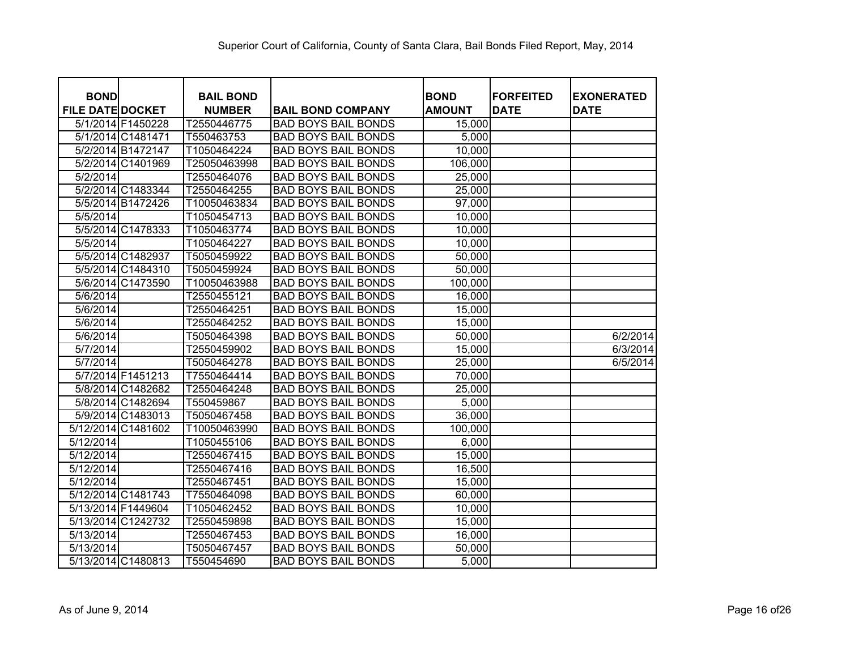| <b>BOND</b>             |                   | <b>BAIL BOND</b> |                            | <b>BOND</b>   | <b>FORFEITED</b> | <b>EXONERATED</b> |
|-------------------------|-------------------|------------------|----------------------------|---------------|------------------|-------------------|
| <b>FILE DATE DOCKET</b> |                   | <b>NUMBER</b>    | <b>BAIL BOND COMPANY</b>   | <b>AMOUNT</b> | <b>DATE</b>      | <b>DATE</b>       |
|                         | 5/1/2014 F1450228 | T2550446775      | <b>BAD BOYS BAIL BONDS</b> | 15,000        |                  |                   |
|                         | 5/1/2014 C1481471 | T550463753       | <b>BAD BOYS BAIL BONDS</b> | 5,000         |                  |                   |
|                         | 5/2/2014 B1472147 | T1050464224      | <b>BAD BOYS BAIL BONDS</b> | 10,000        |                  |                   |
|                         | 5/2/2014 C1401969 | T25050463998     | <b>BAD BOYS BAIL BONDS</b> | 106,000       |                  |                   |
| 5/2/2014                |                   | T2550464076      | <b>BAD BOYS BAIL BONDS</b> | 25,000        |                  |                   |
|                         | 5/2/2014 C1483344 | T2550464255      | <b>BAD BOYS BAIL BONDS</b> | 25,000        |                  |                   |
|                         | 5/5/2014 B1472426 | T10050463834     | <b>BAD BOYS BAIL BONDS</b> | 97,000        |                  |                   |
| 5/5/2014                |                   | T1050454713      | <b>BAD BOYS BAIL BONDS</b> | 10,000        |                  |                   |
|                         | 5/5/2014 C1478333 | T1050463774      | <b>BAD BOYS BAIL BONDS</b> | 10,000        |                  |                   |
| 5/5/2014                |                   | T1050464227      | <b>BAD BOYS BAIL BONDS</b> | 10,000        |                  |                   |
|                         | 5/5/2014 C1482937 | T5050459922      | <b>BAD BOYS BAIL BONDS</b> | 50,000        |                  |                   |
|                         | 5/5/2014 C1484310 | T5050459924      | <b>BAD BOYS BAIL BONDS</b> | 50,000        |                  |                   |
|                         | 5/6/2014 C1473590 | T10050463988     | <b>BAD BOYS BAIL BONDS</b> | 100,000       |                  |                   |
| 5/6/2014                |                   | T2550455121      | <b>BAD BOYS BAIL BONDS</b> | 16,000        |                  |                   |
| 5/6/2014                |                   | T2550464251      | <b>BAD BOYS BAIL BONDS</b> | 15,000        |                  |                   |
| 5/6/2014                |                   | T2550464252      | <b>BAD BOYS BAIL BONDS</b> | 15,000        |                  |                   |
| 5/6/2014                |                   | T5050464398      | <b>BAD BOYS BAIL BONDS</b> | 50,000        |                  | 6/2/2014          |
| 5/7/2014                |                   | T2550459902      | <b>BAD BOYS BAIL BONDS</b> | 15,000        |                  | 6/3/2014          |
| 5/7/2014                |                   | T5050464278      | <b>BAD BOYS BAIL BONDS</b> | 25,000        |                  | 6/5/2014          |
|                         | 5/7/2014 F1451213 | T7550464414      | <b>BAD BOYS BAIL BONDS</b> | 70,000        |                  |                   |
|                         | 5/8/2014 C1482682 | T2550464248      | <b>BAD BOYS BAIL BONDS</b> | 25,000        |                  |                   |
|                         | 5/8/2014 C1482694 | T550459867       | <b>BAD BOYS BAIL BONDS</b> | 5,000         |                  |                   |
|                         | 5/9/2014 C1483013 | T5050467458      | <b>BAD BOYS BAIL BONDS</b> | 36,000        |                  |                   |
| 5/12/2014 C1481602      |                   | T10050463990     | <b>BAD BOYS BAIL BONDS</b> | 100,000       |                  |                   |
| 5/12/2014               |                   | T1050455106      | <b>BAD BOYS BAIL BONDS</b> | 6,000         |                  |                   |
| 5/12/2014               |                   | T2550467415      | <b>BAD BOYS BAIL BONDS</b> | 15,000        |                  |                   |
| 5/12/2014               |                   | T2550467416      | <b>BAD BOYS BAIL BONDS</b> | 16,500        |                  |                   |
| 5/12/2014               |                   | T2550467451      | <b>BAD BOYS BAIL BONDS</b> | 15,000        |                  |                   |
| 5/12/2014 C1481743      |                   | T7550464098      | <b>BAD BOYS BAIL BONDS</b> | 60,000        |                  |                   |
| 5/13/2014 F1449604      |                   | T1050462452      | <b>BAD BOYS BAIL BONDS</b> | 10,000        |                  |                   |
| 5/13/2014 C1242732      |                   | T2550459898      | <b>BAD BOYS BAIL BONDS</b> | 15,000        |                  |                   |
| 5/13/2014               |                   | T2550467453      | <b>BAD BOYS BAIL BONDS</b> | 16,000        |                  |                   |
| 5/13/2014               |                   | T5050467457      | <b>BAD BOYS BAIL BONDS</b> | 50,000        |                  |                   |
| 5/13/2014 C1480813      |                   | T550454690       | <b>BAD BOYS BAIL BONDS</b> | 5,000         |                  |                   |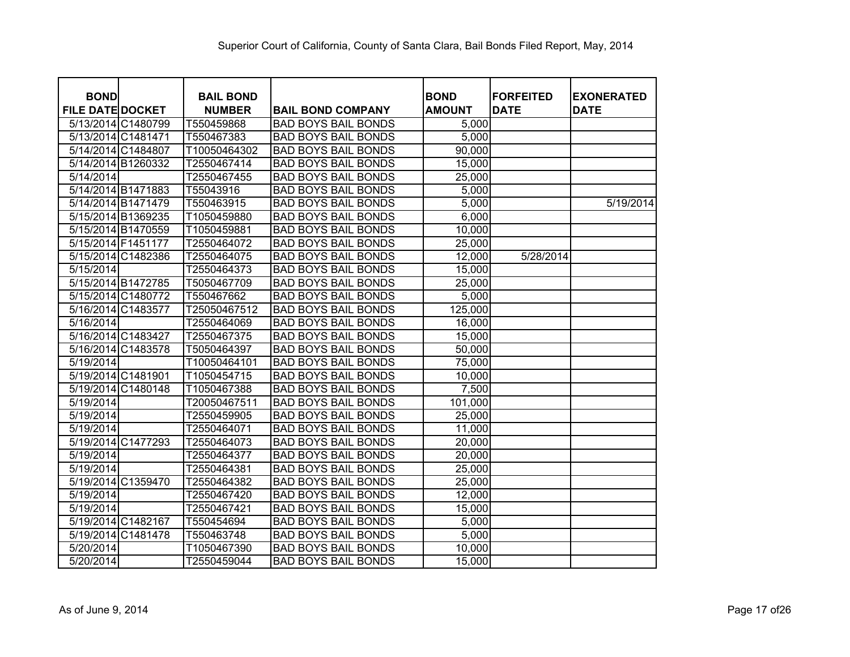| <b>BOND</b>             | <b>BAIL BOND</b> |                            | <b>BOND</b>   | <b>FORFEITED</b> | <b>EXONERATED</b> |
|-------------------------|------------------|----------------------------|---------------|------------------|-------------------|
| <b>FILE DATE DOCKET</b> | <b>NUMBER</b>    | <b>BAIL BOND COMPANY</b>   | <b>AMOUNT</b> | <b>DATE</b>      | <b>DATE</b>       |
| 5/13/2014 C1480799      | T550459868       | <b>BAD BOYS BAIL BONDS</b> | 5,000         |                  |                   |
| 5/13/2014 C1481471      | T550467383       | <b>BAD BOYS BAIL BONDS</b> | 5,000         |                  |                   |
| 5/14/2014 C1484807      | T10050464302     | <b>BAD BOYS BAIL BONDS</b> | 90,000        |                  |                   |
| 5/14/2014 B1260332      | T2550467414      | <b>BAD BOYS BAIL BONDS</b> | 15,000        |                  |                   |
| 5/14/2014               | T2550467455      | <b>BAD BOYS BAIL BONDS</b> | 25,000        |                  |                   |
| 5/14/2014 B1471883      | T55043916        | <b>BAD BOYS BAIL BONDS</b> | 5,000         |                  |                   |
| 5/14/2014 B1471479      | T550463915       | <b>BAD BOYS BAIL BONDS</b> | 5,000         |                  | 5/19/2014         |
| 5/15/2014 B1369235      | T1050459880      | <b>BAD BOYS BAIL BONDS</b> | 6,000         |                  |                   |
| 5/15/2014 B1470559      | T1050459881      | <b>BAD BOYS BAIL BONDS</b> | 10,000        |                  |                   |
| 5/15/2014 F1451177      | T2550464072      | <b>BAD BOYS BAIL BONDS</b> | 25,000        |                  |                   |
| 5/15/2014 C1482386      | T2550464075      | <b>BAD BOYS BAIL BONDS</b> | 12,000        | 5/28/2014        |                   |
| 5/15/2014               | T2550464373      | <b>BAD BOYS BAIL BONDS</b> | 15,000        |                  |                   |
| 5/15/2014 B1472785      | T5050467709      | <b>BAD BOYS BAIL BONDS</b> | 25,000        |                  |                   |
| 5/15/2014 C1480772      | T550467662       | <b>BAD BOYS BAIL BONDS</b> | 5,000         |                  |                   |
| 5/16/2014 C1483577      | T25050467512     | <b>BAD BOYS BAIL BONDS</b> | 125,000       |                  |                   |
| 5/16/2014               | T2550464069      | <b>BAD BOYS BAIL BONDS</b> | 16,000        |                  |                   |
| 5/16/2014 C1483427      | T2550467375      | <b>BAD BOYS BAIL BONDS</b> | 15,000        |                  |                   |
| 5/16/2014 C1483578      | T5050464397      | <b>BAD BOYS BAIL BONDS</b> | 50,000        |                  |                   |
| 5/19/2014               | T10050464101     | <b>BAD BOYS BAIL BONDS</b> | 75,000        |                  |                   |
| 5/19/2014 C1481901      | T1050454715      | <b>BAD BOYS BAIL BONDS</b> | 10,000        |                  |                   |
| 5/19/2014 C1480148      | T1050467388      | <b>BAD BOYS BAIL BONDS</b> | 7,500         |                  |                   |
| 5/19/2014               | T20050467511     | <b>BAD BOYS BAIL BONDS</b> | 101,000       |                  |                   |
| 5/19/2014               | T2550459905      | <b>BAD BOYS BAIL BONDS</b> | 25,000        |                  |                   |
| 5/19/2014               | T2550464071      | <b>BAD BOYS BAIL BONDS</b> | 11,000        |                  |                   |
| 5/19/2014 C1477293      | T2550464073      | <b>BAD BOYS BAIL BONDS</b> | 20,000        |                  |                   |
| 5/19/2014               | T2550464377      | <b>BAD BOYS BAIL BONDS</b> | 20,000        |                  |                   |
| 5/19/2014               | T2550464381      | <b>BAD BOYS BAIL BONDS</b> | 25,000        |                  |                   |
| 5/19/2014 C1359470      | T2550464382      | <b>BAD BOYS BAIL BONDS</b> | 25,000        |                  |                   |
| 5/19/2014               | T2550467420      | <b>BAD BOYS BAIL BONDS</b> | 12,000        |                  |                   |
| 5/19/2014               | T2550467421      | <b>BAD BOYS BAIL BONDS</b> | 15,000        |                  |                   |
| 5/19/2014 C1482167      | T550454694       | <b>BAD BOYS BAIL BONDS</b> | 5,000         |                  |                   |
| 5/19/2014 C1481478      | T550463748       | <b>BAD BOYS BAIL BONDS</b> | 5,000         |                  |                   |
| 5/20/2014               | T1050467390      | <b>BAD BOYS BAIL BONDS</b> | 10,000        |                  |                   |
| 5/20/2014               | T2550459044      | <b>BAD BOYS BAIL BONDS</b> | 15,000        |                  |                   |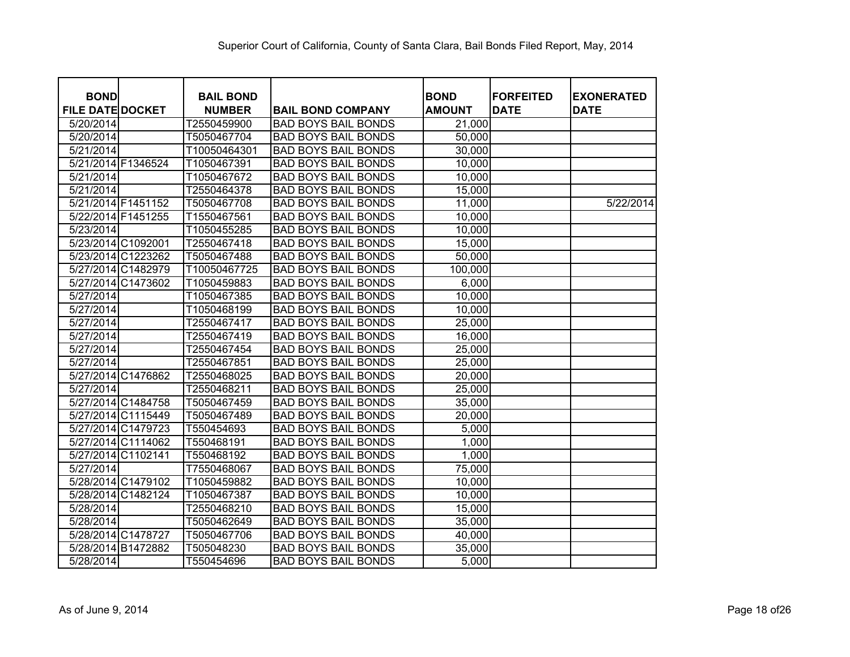| <b>BOND</b>             | <b>BAIL BOND</b> |                            | <b>BOND</b>   | <b>FORFEITED</b> | <b>EXONERATED</b> |
|-------------------------|------------------|----------------------------|---------------|------------------|-------------------|
| <b>FILE DATE DOCKET</b> | <b>NUMBER</b>    | <b>BAIL BOND COMPANY</b>   | <b>AMOUNT</b> | <b>DATE</b>      | <b>DATE</b>       |
| 5/20/2014               | T2550459900      | <b>BAD BOYS BAIL BONDS</b> | 21,000        |                  |                   |
| 5/20/2014               | T5050467704      | <b>BAD BOYS BAIL BONDS</b> | 50,000        |                  |                   |
| 5/21/2014               | T10050464301     | <b>BAD BOYS BAIL BONDS</b> | 30,000        |                  |                   |
| 5/21/2014 F1346524      | T1050467391      | <b>BAD BOYS BAIL BONDS</b> | 10,000        |                  |                   |
| 5/21/2014               | T1050467672      | <b>BAD BOYS BAIL BONDS</b> | 10,000        |                  |                   |
| 5/21/2014               | T2550464378      | <b>BAD BOYS BAIL BONDS</b> | 15,000        |                  |                   |
| 5/21/2014 F1451152      | T5050467708      | <b>BAD BOYS BAIL BONDS</b> | 11,000        |                  | 5/22/2014         |
| 5/22/2014 F1451255      | T1550467561      | <b>BAD BOYS BAIL BONDS</b> | 10,000        |                  |                   |
| 5/23/2014               | T1050455285      | <b>BAD BOYS BAIL BONDS</b> | 10,000        |                  |                   |
| 5/23/2014 C1092001      | T2550467418      | <b>BAD BOYS BAIL BONDS</b> | 15,000        |                  |                   |
| 5/23/2014 C1223262      | T5050467488      | <b>BAD BOYS BAIL BONDS</b> | 50,000        |                  |                   |
| 5/27/2014 C1482979      | T10050467725     | <b>BAD BOYS BAIL BONDS</b> | 100,000       |                  |                   |
| 5/27/2014 C1473602      | T1050459883      | <b>BAD BOYS BAIL BONDS</b> | 6,000         |                  |                   |
| 5/27/2014               | T1050467385      | <b>BAD BOYS BAIL BONDS</b> | 10,000        |                  |                   |
| 5/27/2014               | T1050468199      | <b>BAD BOYS BAIL BONDS</b> | 10,000        |                  |                   |
| 5/27/2014               | T2550467417      | <b>BAD BOYS BAIL BONDS</b> | 25,000        |                  |                   |
| 5/27/2014               | T2550467419      | <b>BAD BOYS BAIL BONDS</b> | 16,000        |                  |                   |
| 5/27/2014               | T2550467454      | <b>BAD BOYS BAIL BONDS</b> | 25,000        |                  |                   |
| 5/27/2014               | T2550467851      | <b>BAD BOYS BAIL BONDS</b> | 25,000        |                  |                   |
| 5/27/2014 C1476862      | T2550468025      | <b>BAD BOYS BAIL BONDS</b> | 20,000        |                  |                   |
| 5/27/2014               | T2550468211      | <b>BAD BOYS BAIL BONDS</b> | 25,000        |                  |                   |
| 5/27/2014 C1484758      | T5050467459      | <b>BAD BOYS BAIL BONDS</b> | 35,000        |                  |                   |
| 5/27/2014 C1115449      | T5050467489      | <b>BAD BOYS BAIL BONDS</b> | 20,000        |                  |                   |
| 5/27/2014 C1479723      | T550454693       | <b>BAD BOYS BAIL BONDS</b> | 5,000         |                  |                   |
| 5/27/2014 C1114062      | T550468191       | <b>BAD BOYS BAIL BONDS</b> | 1,000         |                  |                   |
| 5/27/2014 C1102141      | T550468192       | <b>BAD BOYS BAIL BONDS</b> | 1,000         |                  |                   |
| 5/27/2014               | T7550468067      | <b>BAD BOYS BAIL BONDS</b> | 75,000        |                  |                   |
| 5/28/2014 C1479102      | T1050459882      | <b>BAD BOYS BAIL BONDS</b> | 10,000        |                  |                   |
| 5/28/2014 C1482124      | T1050467387      | <b>BAD BOYS BAIL BONDS</b> | 10,000        |                  |                   |
| 5/28/2014               | T2550468210      | <b>BAD BOYS BAIL BONDS</b> | 15,000        |                  |                   |
| 5/28/2014               | T5050462649      | <b>BAD BOYS BAIL BONDS</b> | 35,000        |                  |                   |
| 5/28/2014 C1478727      | T5050467706      | <b>BAD BOYS BAIL BONDS</b> | 40,000        |                  |                   |
| 5/28/2014 B1472882      | T505048230       | <b>BAD BOYS BAIL BONDS</b> | 35,000        |                  |                   |
| 5/28/2014               | T550454696       | <b>BAD BOYS BAIL BONDS</b> | 5,000         |                  |                   |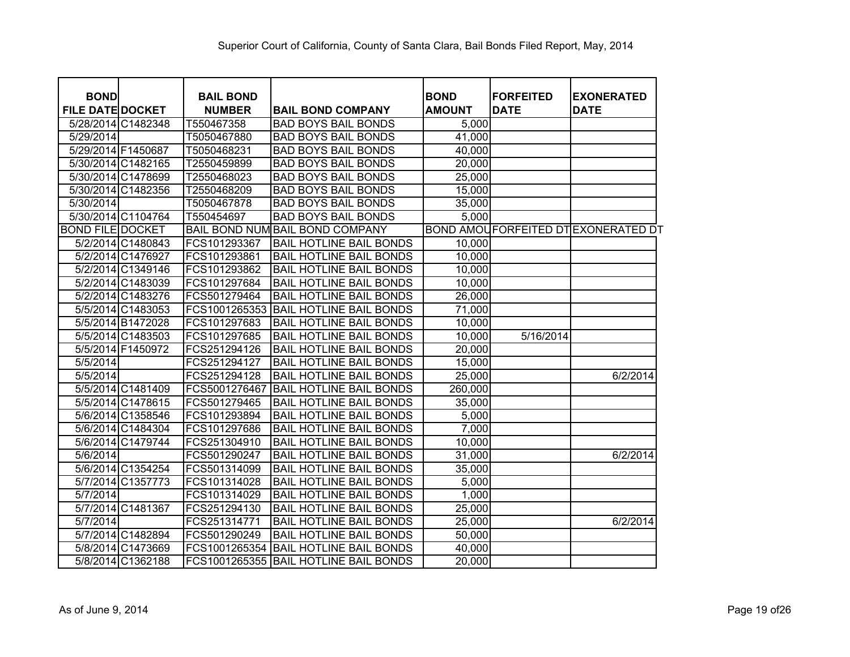| <b>BOND</b>             |                    | <b>BAIL BOND</b> |                                 | <b>BOND</b>   | <b>FORFEITED</b> | <b>EXONERATED</b>                         |
|-------------------------|--------------------|------------------|---------------------------------|---------------|------------------|-------------------------------------------|
| <b>FILE DATE DOCKET</b> |                    | <b>NUMBER</b>    | <b>BAIL BOND COMPANY</b>        | <b>AMOUNT</b> | <b>DATE</b>      | <b>DATE</b>                               |
|                         | 5/28/2014 C1482348 | T550467358       | <b>BAD BOYS BAIL BONDS</b>      | 5,000         |                  |                                           |
| 5/29/2014               |                    | T5050467880      | <b>BAD BOYS BAIL BONDS</b>      | 41,000        |                  |                                           |
| 5/29/2014 F1450687      |                    | T5050468231      | <b>BAD BOYS BAIL BONDS</b>      | 40,000        |                  |                                           |
|                         | 5/30/2014 C1482165 | T2550459899      | <b>BAD BOYS BAIL BONDS</b>      | 20,000        |                  |                                           |
|                         | 5/30/2014 C1478699 | T2550468023      | <b>BAD BOYS BAIL BONDS</b>      | 25,000        |                  |                                           |
|                         | 5/30/2014 C1482356 | T2550468209      | <b>BAD BOYS BAIL BONDS</b>      | 15,000        |                  |                                           |
| 5/30/2014               |                    | T5050467878      | <b>BAD BOYS BAIL BONDS</b>      | 35,000        |                  |                                           |
|                         | 5/30/2014 C1104764 | T550454697       | <b>BAD BOYS BAIL BONDS</b>      | 5,000         |                  |                                           |
| <b>BOND FILE DOCKET</b> |                    |                  | BAIL BOND NUM BAIL BOND COMPANY |               |                  | <b>BOND AMOUFORFEITED DTEXONERATED DT</b> |
|                         | 5/2/2014 C1480843  | FCS101293367     | <b>BAIL HOTLINE BAIL BONDS</b>  | 10,000        |                  |                                           |
|                         | 5/2/2014 C1476927  | FCS101293861     | <b>BAIL HOTLINE BAIL BONDS</b>  | 10,000        |                  |                                           |
|                         | 5/2/2014 C1349146  | FCS101293862     | <b>BAIL HOTLINE BAIL BONDS</b>  | 10,000        |                  |                                           |
|                         | 5/2/2014 C1483039  | FCS101297684     | <b>BAIL HOTLINE BAIL BONDS</b>  | 10,000        |                  |                                           |
|                         | 5/2/2014 C1483276  | FCS501279464     | <b>BAIL HOTLINE BAIL BONDS</b>  | 26,000        |                  |                                           |
|                         | 5/5/2014 C1483053  | FCS1001265353    | <b>BAIL HOTLINE BAIL BONDS</b>  | 71,000        |                  |                                           |
|                         | 5/5/2014 B1472028  | FCS101297683     | <b>BAIL HOTLINE BAIL BONDS</b>  | 10,000        |                  |                                           |
|                         | 5/5/2014 C1483503  | FCS101297685     | <b>BAIL HOTLINE BAIL BONDS</b>  | 10,000        | 5/16/2014        |                                           |
|                         | 5/5/2014 F1450972  | FCS251294126     | <b>BAIL HOTLINE BAIL BONDS</b>  | 20,000        |                  |                                           |
| 5/5/2014                |                    | FCS251294127     | <b>BAIL HOTLINE BAIL BONDS</b>  | 15,000        |                  |                                           |
| 5/5/2014                |                    | FCS251294128     | <b>BAIL HOTLINE BAIL BONDS</b>  | 25,000        |                  | 6/2/2014                                  |
|                         | 5/5/2014 C1481409  | FCS5001276467    | <b>BAIL HOTLINE BAIL BONDS</b>  | 260,000       |                  |                                           |
|                         | 5/5/2014 C1478615  | FCS501279465     | <b>BAIL HOTLINE BAIL BONDS</b>  | 35,000        |                  |                                           |
|                         | 5/6/2014 C1358546  | FCS101293894     | <b>BAIL HOTLINE BAIL BONDS</b>  | 5,000         |                  |                                           |
|                         | 5/6/2014 C1484304  | FCS101297686     | <b>BAIL HOTLINE BAIL BONDS</b>  | 7,000         |                  |                                           |
|                         | 5/6/2014 C1479744  | FCS251304910     | <b>BAIL HOTLINE BAIL BONDS</b>  | 10,000        |                  |                                           |
| 5/6/2014                |                    | FCS501290247     | <b>BAIL HOTLINE BAIL BONDS</b>  | 31,000        |                  | 6/2/2014                                  |
|                         | 5/6/2014 C1354254  | FCS501314099     | <b>BAIL HOTLINE BAIL BONDS</b>  | 35,000        |                  |                                           |
|                         | 5/7/2014 C1357773  | FCS101314028     | <b>BAIL HOTLINE BAIL BONDS</b>  | 5,000         |                  |                                           |
| 5/7/2014                |                    | FCS101314029     | <b>BAIL HOTLINE BAIL BONDS</b>  | 1,000         |                  |                                           |
|                         | 5/7/2014 C1481367  | FCS251294130     | <b>BAIL HOTLINE BAIL BONDS</b>  | 25,000        |                  |                                           |
| 5/7/2014                |                    | FCS251314771     | <b>BAIL HOTLINE BAIL BONDS</b>  | 25,000        |                  | 6/2/2014                                  |
|                         | 5/7/2014 C1482894  | FCS501290249     | <b>BAIL HOTLINE BAIL BONDS</b>  | 50,000        |                  |                                           |
|                         | 5/8/2014 C1473669  | FCS1001265354    | <b>BAIL HOTLINE BAIL BONDS</b>  | 40,000        |                  |                                           |
|                         | 5/8/2014 C1362188  | FCS1001265355    | <b>BAIL HOTLINE BAIL BONDS</b>  | 20,000        |                  |                                           |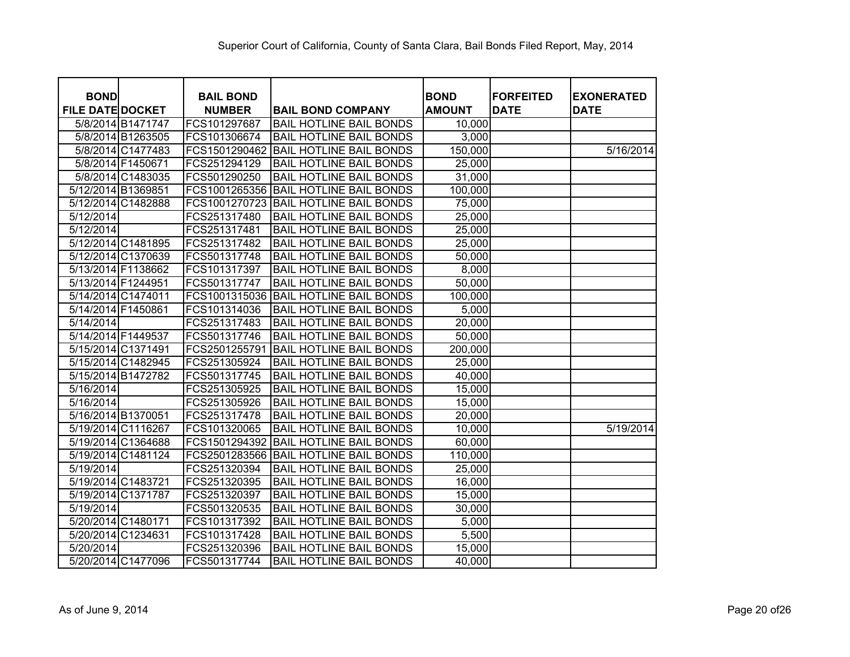| <b>BOND</b>             | <b>BAIL BOND</b> |                                | <b>BOND</b>   | <b>FORFEITED</b> | <b>EXONERATED</b>     |
|-------------------------|------------------|--------------------------------|---------------|------------------|-----------------------|
| <b>FILE DATE DOCKET</b> | <b>NUMBER</b>    | <b>BAIL BOND COMPANY</b>       | <b>AMOUNT</b> | <b>DATE</b>      | <b>DATE</b>           |
| 5/8/2014 B1471747       | FCS101297687     | <b>BAIL HOTLINE BAIL BONDS</b> | 10,000        |                  |                       |
| 5/8/2014 B1263505       | FCS101306674     | <b>BAIL HOTLINE BAIL BONDS</b> | 3,000         |                  |                       |
| 5/8/2014 C1477483       | FCS1501290462    | <b>BAIL HOTLINE BAIL BONDS</b> | 150,000       |                  | $\frac{1}{5/16/2014}$ |
| 5/8/2014 F1450671       | FCS251294129     | <b>BAIL HOTLINE BAIL BONDS</b> | 25,000        |                  |                       |
| 5/8/2014 C1483035       | FCS501290250     | <b>BAIL HOTLINE BAIL BONDS</b> | 31,000        |                  |                       |
| 5/12/2014 B1369851      | FCS1001265356    | <b>BAIL HOTLINE BAIL BONDS</b> | 100,000       |                  |                       |
| 5/12/2014 C1482888      | FCS1001270723    | <b>BAIL HOTLINE BAIL BONDS</b> | 75,000        |                  |                       |
| 5/12/2014               | FCS251317480     | <b>BAIL HOTLINE BAIL BONDS</b> | 25,000        |                  |                       |
| 5/12/2014               | FCS251317481     | <b>BAIL HOTLINE BAIL BONDS</b> | 25,000        |                  |                       |
| 5/12/2014 C1481895      | FCS251317482     | <b>BAIL HOTLINE BAIL BONDS</b> | 25,000        |                  |                       |
| 5/12/2014 C1370639      | FCS501317748     | <b>BAIL HOTLINE BAIL BONDS</b> | 50,000        |                  |                       |
| 5/13/2014 F1138662      | FCS101317397     | <b>BAIL HOTLINE BAIL BONDS</b> | 8,000         |                  |                       |
| 5/13/2014 F1244951      | FCS501317747     | <b>BAIL HOTLINE BAIL BONDS</b> | 50,000        |                  |                       |
| 5/14/2014 C1474011      | FCS1001315036    | <b>BAIL HOTLINE BAIL BONDS</b> | 100,000       |                  |                       |
| 5/14/2014 F1450861      | FCS101314036     | <b>BAIL HOTLINE BAIL BONDS</b> | 5,000         |                  |                       |
| 5/14/2014               | FCS251317483     | <b>BAIL HOTLINE BAIL BONDS</b> | 20,000        |                  |                       |
| 5/14/2014 F1449537      | FCS501317746     | <b>BAIL HOTLINE BAIL BONDS</b> | 50,000        |                  |                       |
| 5/15/2014 C1371491      | FCS2501255791    | <b>BAIL HOTLINE BAIL BONDS</b> | 200,000       |                  |                       |
| 5/15/2014 C1482945      | FCS251305924     | <b>BAIL HOTLINE BAIL BONDS</b> | 25,000        |                  |                       |
| 5/15/2014 B1472782      | FCS501317745     | <b>BAIL HOTLINE BAIL BONDS</b> | 40,000        |                  |                       |
| 5/16/2014               | FCS251305925     | <b>BAIL HOTLINE BAIL BONDS</b> | 15,000        |                  |                       |
| 5/16/2014               | FCS251305926     | <b>BAIL HOTLINE BAIL BONDS</b> | 15,000        |                  |                       |
| 5/16/2014 B1370051      | FCS251317478     | <b>BAIL HOTLINE BAIL BONDS</b> | 20,000        |                  |                       |
| 5/19/2014 C1116267      | FCS101320065     | <b>BAIL HOTLINE BAIL BONDS</b> | 10,000        |                  | 5/19/2014             |
| 5/19/2014 C1364688      | FCS1501294392    | <b>BAIL HOTLINE BAIL BONDS</b> | 60,000        |                  |                       |
| 5/19/2014 C1481124      | FCS2501283566    | <b>BAIL HOTLINE BAIL BONDS</b> | 110,000       |                  |                       |
| 5/19/2014               | FCS251320394     | <b>BAIL HOTLINE BAIL BONDS</b> | 25,000        |                  |                       |
| 5/19/2014 C1483721      | FCS251320395     | <b>BAIL HOTLINE BAIL BONDS</b> | 16,000        |                  |                       |
| 5/19/2014 C1371787      | FCS251320397     | <b>BAIL HOTLINE BAIL BONDS</b> | 15,000        |                  |                       |
| $\overline{5/19/2014}$  | FCS501320535     | <b>BAIL HOTLINE BAIL BONDS</b> | 30,000        |                  |                       |
| 5/20/2014 C1480171      | FCS101317392     | <b>BAIL HOTLINE BAIL BONDS</b> | 5,000         |                  |                       |
| 5/20/2014 C1234631      | FCS101317428     | <b>BAIL HOTLINE BAIL BONDS</b> | 5,500         |                  |                       |
| 5/20/2014               | FCS251320396     | <b>BAIL HOTLINE BAIL BONDS</b> | 15,000        |                  |                       |
| 5/20/2014 C1477096      | FCS501317744     | <b>BAIL HOTLINE BAIL BONDS</b> | 40,000        |                  |                       |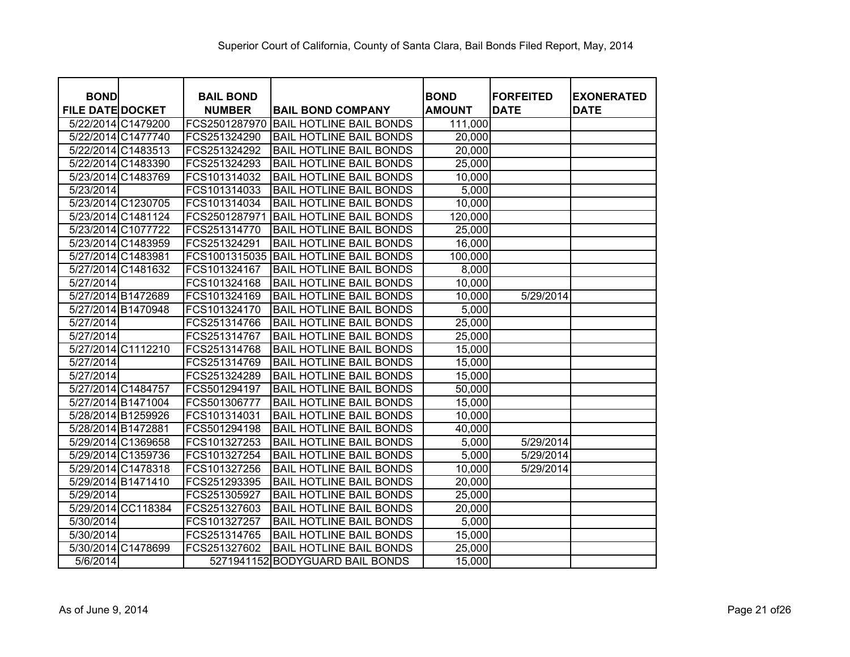| <b>BOND</b>             | <b>BAIL BOND</b> |                                 | <b>BOND</b>   | <b>FORFEITED</b> | <b>EXONERATED</b> |
|-------------------------|------------------|---------------------------------|---------------|------------------|-------------------|
| <b>FILE DATE DOCKET</b> | <b>NUMBER</b>    | <b>BAIL BOND COMPANY</b>        | <b>AMOUNT</b> | <b>DATE</b>      | <b>DATE</b>       |
| 5/22/2014 C1479200      | FCS2501287970    | <b>BAIL HOTLINE BAIL BONDS</b>  | 111,000       |                  |                   |
| 5/22/2014 C1477740      | FCS251324290     | <b>BAIL HOTLINE BAIL BONDS</b>  | 20,000        |                  |                   |
| 5/22/2014 C1483513      | FCS251324292     | <b>BAIL HOTLINE BAIL BONDS</b>  | 20,000        |                  |                   |
| 5/22/2014 C1483390      | FCS251324293     | <b>BAIL HOTLINE BAIL BONDS</b>  | 25,000        |                  |                   |
| 5/23/2014 C1483769      | FCS101314032     | <b>BAIL HOTLINE BAIL BONDS</b>  | 10,000        |                  |                   |
| 5/23/2014               | FCS101314033     | <b>BAIL HOTLINE BAIL BONDS</b>  | 5,000         |                  |                   |
| 5/23/2014 C1230705      | FCS101314034     | <b>BAIL HOTLINE BAIL BONDS</b>  | 10,000        |                  |                   |
| 5/23/2014 C1481124      | FCS2501287971    | <b>BAIL HOTLINE BAIL BONDS</b>  | 120,000       |                  |                   |
| 5/23/2014 C1077722      | FCS251314770     | <b>BAIL HOTLINE BAIL BONDS</b>  | 25,000        |                  |                   |
| 5/23/2014 C1483959      | FCS251324291     | <b>BAIL HOTLINE BAIL BONDS</b>  | 16,000        |                  |                   |
| 5/27/2014 C1483981      | FCS1001315035    | <b>BAIL HOTLINE BAIL BONDS</b>  | 100,000       |                  |                   |
| 5/27/2014 C1481632      | FCS101324167     | <b>BAIL HOTLINE BAIL BONDS</b>  | 8,000         |                  |                   |
| 5/27/2014               | FCS101324168     | <b>BAIL HOTLINE BAIL BONDS</b>  | 10,000        |                  |                   |
| 5/27/2014 B1472689      | FCS101324169     | <b>BAIL HOTLINE BAIL BONDS</b>  | 10,000        | 5/29/2014        |                   |
| 5/27/2014 B1470948      | FCS101324170     | <b>BAIL HOTLINE BAIL BONDS</b>  | 5,000         |                  |                   |
| 5/27/2014               | FCS251314766     | <b>BAIL HOTLINE BAIL BONDS</b>  | 25,000        |                  |                   |
| 5/27/2014               | FCS251314767     | <b>BAIL HOTLINE BAIL BONDS</b>  | 25,000        |                  |                   |
| 5/27/2014 C1112210      | FCS251314768     | <b>BAIL HOTLINE BAIL BONDS</b>  | 15,000        |                  |                   |
| 5/27/2014               | FCS251314769     | <b>BAIL HOTLINE BAIL BONDS</b>  | 15,000        |                  |                   |
| 5/27/2014               | FCS251324289     | <b>BAIL HOTLINE BAIL BONDS</b>  | 15,000        |                  |                   |
| 5/27/2014 C1484757      | FCS501294197     | <b>BAIL HOTLINE BAIL BONDS</b>  | 50,000        |                  |                   |
| 5/27/2014 B1471004      | FCS501306777     | <b>BAIL HOTLINE BAIL BONDS</b>  | 15,000        |                  |                   |
| 5/28/2014 B1259926      | FCS101314031     | <b>BAIL HOTLINE BAIL BONDS</b>  | 10,000        |                  |                   |
| 5/28/2014 B1472881      | FCS501294198     | <b>BAIL HOTLINE BAIL BONDS</b>  | 40,000        |                  |                   |
| 5/29/2014 C1369658      | FCS101327253     | <b>BAIL HOTLINE BAIL BONDS</b>  | 5,000         | 5/29/2014        |                   |
| 5/29/2014 C1359736      | FCS101327254     | <b>BAIL HOTLINE BAIL BONDS</b>  | 5,000         | 5/29/2014        |                   |
| 5/29/2014 C1478318      | FCS101327256     | <b>BAIL HOTLINE BAIL BONDS</b>  | 10,000        | 5/29/2014        |                   |
| 5/29/2014 B1471410      | FCS251293395     | <b>BAIL HOTLINE BAIL BONDS</b>  | 20,000        |                  |                   |
| 5/29/2014               | FCS251305927     | <b>BAIL HOTLINE BAIL BONDS</b>  | 25,000        |                  |                   |
| 5/29/2014 CC118384      | FCS251327603     | <b>BAIL HOTLINE BAIL BONDS</b>  | 20,000        |                  |                   |
| 5/30/2014               | FCS101327257     | <b>BAIL HOTLINE BAIL BONDS</b>  | 5,000         |                  |                   |
| 5/30/2014               | FCS251314765     | <b>BAIL HOTLINE BAIL BONDS</b>  | 15,000        |                  |                   |
| 5/30/2014 C1478699      | FCS251327602     | <b>BAIL HOTLINE BAIL BONDS</b>  | 25,000        |                  |                   |
| 5/6/2014                |                  | 5271941152 BODYGUARD BAIL BONDS | 15,000        |                  |                   |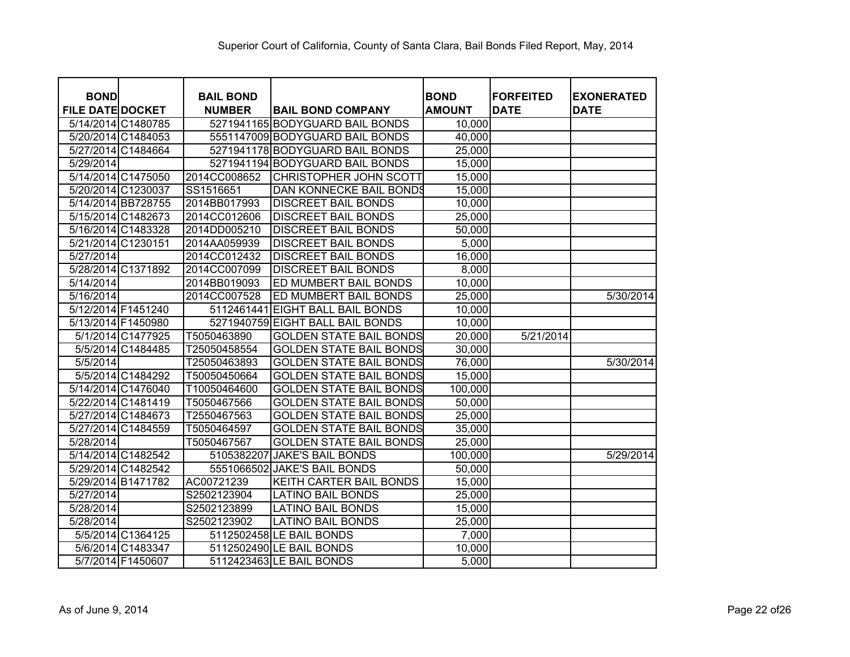| <b>BOND</b>             |                    | <b>BAIL BOND</b> |                                 | <b>BOND</b>   | <b>FORFEITED</b> | <b>EXONERATED</b> |
|-------------------------|--------------------|------------------|---------------------------------|---------------|------------------|-------------------|
| <b>FILE DATE DOCKET</b> |                    | <b>NUMBER</b>    | <b>BAIL BOND COMPANY</b>        | <b>AMOUNT</b> | <b>DATE</b>      | <b>DATE</b>       |
|                         | 5/14/2014 C1480785 |                  | 5271941165 BODYGUARD BAIL BONDS | 10,000        |                  |                   |
|                         | 5/20/2014 C1484053 |                  | 5551147009 BODYGUARD BAIL BONDS | 40,000        |                  |                   |
|                         | 5/27/2014 C1484664 |                  | 5271941178 BODYGUARD BAIL BONDS | 25,000        |                  |                   |
| 5/29/2014               |                    |                  | 5271941194 BODYGUARD BAIL BONDS | 15,000        |                  |                   |
|                         | 5/14/2014 C1475050 | 2014CC008652     | <b>CHRISTOPHER JOHN SCOTT</b>   | 15,000        |                  |                   |
|                         | 5/20/2014 C1230037 | SS1516651        | DAN KONNECKE BAIL BONDS         | 15,000        |                  |                   |
|                         | 5/14/2014 BB728755 | 2014BB017993     | <b>DISCREET BAIL BONDS</b>      | 10,000        |                  |                   |
|                         | 5/15/2014 C1482673 | 2014CC012606     | <b>DISCREET BAIL BONDS</b>      | 25,000        |                  |                   |
|                         | 5/16/2014 C1483328 | 2014DD005210     | <b>DISCREET BAIL BONDS</b>      | 50,000        |                  |                   |
| 5/21/2014 C1230151      |                    | 2014AA059939     | <b>DISCREET BAIL BONDS</b>      | 5,000         |                  |                   |
| 5/27/2014               |                    | 2014CC012432     | <b>DISCREET BAIL BONDS</b>      | 16,000        |                  |                   |
|                         | 5/28/2014 C1371892 | 2014CC007099     | <b>DISCREET BAIL BONDS</b>      | 8,000         |                  |                   |
| 5/14/2014               |                    | 2014BB019093     | ED MUMBERT BAIL BONDS           | 10,000        |                  |                   |
| 5/16/2014               |                    | 2014CC007528     | ED MUMBERT BAIL BONDS           | 25,000        |                  | 5/30/2014         |
|                         | 5/12/2014 F1451240 | 5112461441       | <b>EIGHT BALL BAIL BONDS</b>    | 10,000        |                  |                   |
|                         | 5/13/2014 F1450980 | 5271940759       | <b>EIGHT BALL BAIL BONDS</b>    | 10,000        |                  |                   |
|                         | 5/1/2014 C1477925  | T5050463890      | <b>GOLDEN STATE BAIL BONDS</b>  | 20,000        | 5/21/2014        |                   |
|                         | 5/5/2014 C1484485  | T25050458554     | <b>GOLDEN STATE BAIL BONDS</b>  | 30,000        |                  |                   |
| 5/5/2014                |                    | T25050463893     | <b>GOLDEN STATE BAIL BONDS</b>  | 76,000        |                  | 5/30/2014         |
|                         | 5/5/2014 C1484292  | T50050450664     | <b>GOLDEN STATE BAIL BONDS</b>  | 15,000        |                  |                   |
|                         | 5/14/2014 C1476040 | T10050464600     | <b>GOLDEN STATE BAIL BONDS</b>  | 100,000       |                  |                   |
|                         | 5/22/2014 C1481419 | T5050467566      | <b>GOLDEN STATE BAIL BONDS</b>  | 50,000        |                  |                   |
|                         | 5/27/2014 C1484673 | T2550467563      | <b>GOLDEN STATE BAIL BONDS</b>  | 25,000        |                  |                   |
|                         | 5/27/2014 C1484559 | T5050464597      | <b>GOLDEN STATE BAIL BONDS</b>  | 35,000        |                  |                   |
| 5/28/2014               |                    | T5050467567      | <b>GOLDEN STATE BAIL BONDS</b>  | 25,000        |                  |                   |
|                         | 5/14/2014 C1482542 | 5105382207       | <b>JAKE'S BAIL BONDS</b>        | 100,000       |                  | 5/29/2014         |
|                         | 5/29/2014 C1482542 | 5551066502       | <b>JAKE'S BAIL BONDS</b>        | 50,000        |                  |                   |
|                         | 5/29/2014 B1471782 | AC00721239       | KEITH CARTER BAIL BONDS         | 15,000        |                  |                   |
| 5/27/2014               |                    | S2502123904      | <b>LATINO BAIL BONDS</b>        | 25,000        |                  |                   |
| 5/28/2014               |                    | S2502123899      | <b>LATINO BAIL BONDS</b>        | 15,000        |                  |                   |
| 5/28/2014               |                    | S2502123902      | <b>LATINO BAIL BONDS</b>        | 25,000        |                  |                   |
|                         | 5/5/2014 C1364125  |                  | 5112502458 LE BAIL BONDS        | 7,000         |                  |                   |
|                         | 5/6/2014 C1483347  |                  | 5112502490 LE BAIL BONDS        | 10,000        |                  |                   |
|                         | 5/7/2014 F1450607  |                  | 5112423463 LE BAIL BONDS        | 5,000         |                  |                   |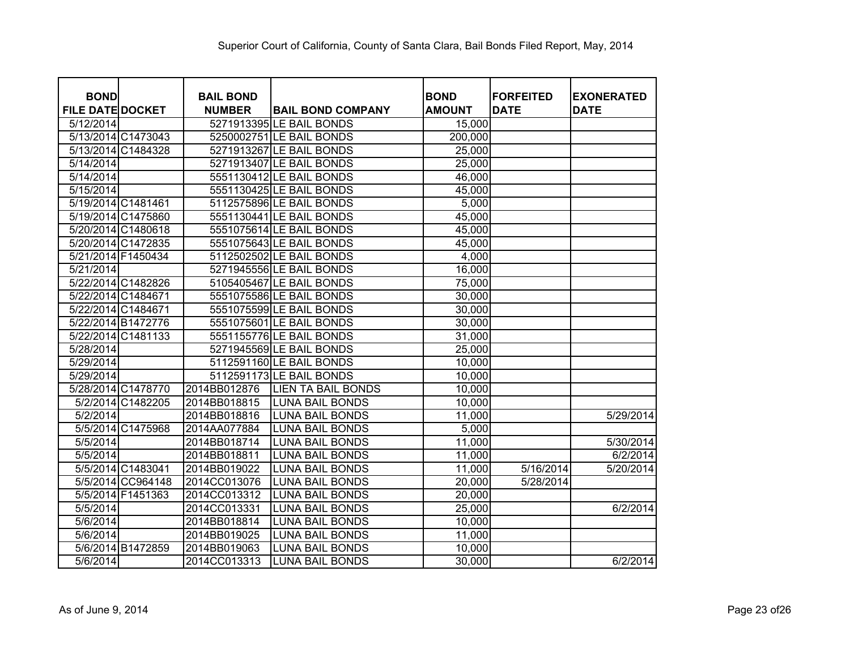| <b>BOND</b>             | <b>BAIL BOND</b> |                           | <b>BOND</b>   | <b>FORFEITED</b> | <b>EXONERATED</b> |
|-------------------------|------------------|---------------------------|---------------|------------------|-------------------|
| <b>FILE DATE DOCKET</b> | <b>NUMBER</b>    | <b>BAIL BOND COMPANY</b>  | <b>AMOUNT</b> | <b>DATE</b>      | <b>DATE</b>       |
| 5/12/2014               |                  | 5271913395 LE BAIL BONDS  | 15,000        |                  |                   |
| 5/13/2014 C1473043      |                  | 5250002751 LE BAIL BONDS  | 200,000       |                  |                   |
| 5/13/2014 C1484328      |                  | 5271913267 LE BAIL BONDS  | 25,000        |                  |                   |
| 5/14/2014               |                  | 5271913407 LE BAIL BONDS  | 25,000        |                  |                   |
| 5/14/2014               |                  | 5551130412 LE BAIL BONDS  | 46,000        |                  |                   |
| 5/15/2014               |                  | 5551130425 LE BAIL BONDS  | 45,000        |                  |                   |
| 5/19/2014 C1481461      |                  | 5112575896 LE BAIL BONDS  | 5,000         |                  |                   |
| 5/19/2014 C1475860      |                  | 5551130441 LE BAIL BONDS  | 45,000        |                  |                   |
| 5/20/2014 C1480618      |                  | 5551075614 LE BAIL BONDS  | 45,000        |                  |                   |
| 5/20/2014 C1472835      |                  | 5551075643 LE BAIL BONDS  | 45,000        |                  |                   |
| 5/21/2014 F1450434      |                  | 5112502502 LE BAIL BONDS  | 4,000         |                  |                   |
| 5/21/2014               |                  | 5271945556 LE BAIL BONDS  | 16,000        |                  |                   |
| 5/22/2014 C1482826      |                  | 5105405467 LE BAIL BONDS  | 75,000        |                  |                   |
| 5/22/2014 C1484671      |                  | 5551075586 LE BAIL BONDS  | 30,000        |                  |                   |
| 5/22/2014 C1484671      |                  | 5551075599 LE BAIL BONDS  | 30,000        |                  |                   |
| 5/22/2014 B1472776      |                  | 5551075601 LE BAIL BONDS  | 30,000        |                  |                   |
| 5/22/2014 C1481133      |                  | 5551155776 LE BAIL BONDS  | 31,000        |                  |                   |
| 5/28/2014               |                  | 5271945569 LE BAIL BONDS  | 25,000        |                  |                   |
| 5/29/2014               |                  | 5112591160 LE BAIL BONDS  | 10,000        |                  |                   |
| 5/29/2014               |                  | 5112591173 LE BAIL BONDS  | 10,000        |                  |                   |
| 5/28/2014 C1478770      | 2014BB012876     | <b>LIEN TA BAIL BONDS</b> | 10,000        |                  |                   |
| 5/2/2014 C1482205       | 2014BB018815     | <b>LUNA BAIL BONDS</b>    | 10,000        |                  |                   |
| 5/2/2014                | 2014BB018816     | <b>LUNA BAIL BONDS</b>    | 11,000        |                  | 5/29/2014         |
| 5/5/2014 C1475968       | 2014AA077884     | <b>LUNA BAIL BONDS</b>    | 5,000         |                  |                   |
| $\sqrt{5/5/2014}$       | 2014BB018714     | <b>LUNA BAIL BONDS</b>    | 11,000        |                  | 5/30/2014         |
| 5/5/2014                | 2014BB018811     | <b>LUNA BAIL BONDS</b>    | 11,000        |                  | 6/2/2014          |
| 5/5/2014 C1483041       | 2014BB019022     | <b>LUNA BAIL BONDS</b>    | 11,000        | 5/16/2014        | 5/20/2014         |
| 5/5/2014 CC964148       | 2014CC013076     | <b>LUNA BAIL BONDS</b>    | 20,000        | 5/28/2014        |                   |
| 5/5/2014 F1451363       | 2014CC013312     | <b>LUNA BAIL BONDS</b>    | 20,000        |                  |                   |
| 5/5/2014                | 2014CC013331     | <b>LUNA BAIL BONDS</b>    | 25,000        |                  | 6/2/2014          |
| 5/6/2014                | 2014BB018814     | <b>LUNA BAIL BONDS</b>    | 10,000        |                  |                   |
| 5/6/2014                | 2014BB019025     | <b>LUNA BAIL BONDS</b>    | 11,000        |                  |                   |
| 5/6/2014 B1472859       | 2014BB019063     | <b>LUNA BAIL BONDS</b>    | 10,000        |                  |                   |
| 5/6/2014                | 2014CC013313     | <b>LUNA BAIL BONDS</b>    | 30,000        |                  | 6/2/2014          |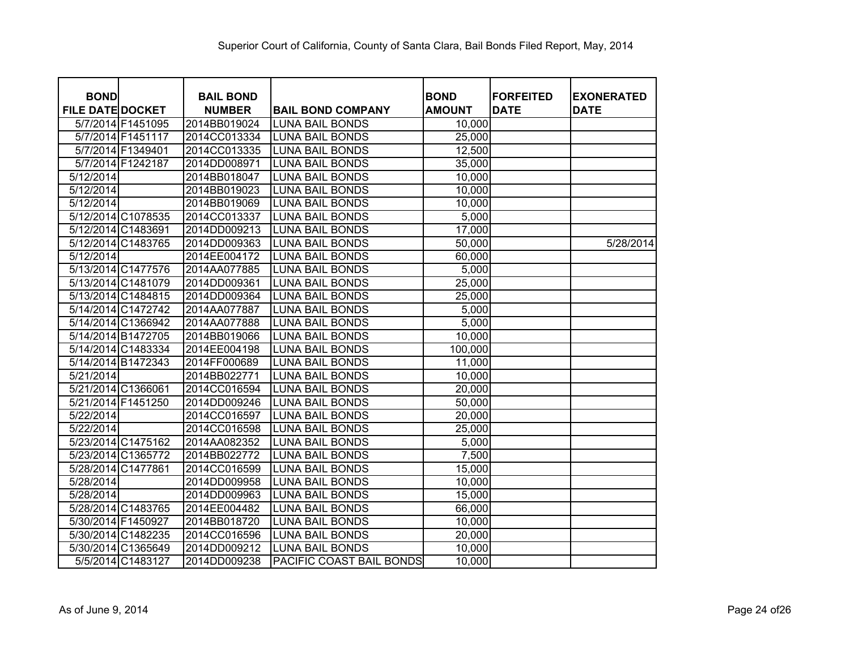| <b>BOND</b>             |                   | <b>BAIL BOND</b> |                          | <b>BOND</b>   | <b>FORFEITED</b> | <b>EXONERATED</b> |
|-------------------------|-------------------|------------------|--------------------------|---------------|------------------|-------------------|
| <b>FILE DATE DOCKET</b> |                   | <b>NUMBER</b>    | <b>BAIL BOND COMPANY</b> | <b>AMOUNT</b> | <b>DATE</b>      | <b>DATE</b>       |
|                         | 5/7/2014 F1451095 | 2014BB019024     | <b>LUNA BAIL BONDS</b>   | 10,000        |                  |                   |
|                         | 5/7/2014 F1451117 | 2014CC013334     | <b>LUNA BAIL BONDS</b>   | 25,000        |                  |                   |
|                         | 5/7/2014 F1349401 | 2014CC013335     | <b>LUNA BAIL BONDS</b>   | 12,500        |                  |                   |
|                         | 5/7/2014 F1242187 | 2014DD008971     | <b>LUNA BAIL BONDS</b>   | 35,000        |                  |                   |
| 5/12/2014               |                   | 2014BB018047     | <b>LUNA BAIL BONDS</b>   | 10,000        |                  |                   |
| 5/12/2014               |                   | 2014BB019023     | <b>LUNA BAIL BONDS</b>   | 10,000        |                  |                   |
| $\overline{5/12/2014}$  |                   | 2014BB019069     | <b>LUNA BAIL BONDS</b>   | 10,000        |                  |                   |
| 5/12/2014 C1078535      |                   | 2014CC013337     | <b>LUNA BAIL BONDS</b>   | 5,000         |                  |                   |
| 5/12/2014 C1483691      |                   | 2014DD009213     | <b>LUNA BAIL BONDS</b>   | 17,000        |                  |                   |
| 5/12/2014 C1483765      |                   | 2014DD009363     | <b>LUNA BAIL BONDS</b>   | 50,000        |                  | 5/28/2014         |
| 5/12/2014               |                   | 2014EE004172     | <b>LUNA BAIL BONDS</b>   | 60,000        |                  |                   |
| 5/13/2014 C1477576      |                   | 2014AA077885     | <b>LUNA BAIL BONDS</b>   | 5,000         |                  |                   |
| 5/13/2014 C1481079      |                   | 2014DD009361     | <b>LUNA BAIL BONDS</b>   | 25,000        |                  |                   |
| 5/13/2014 C1484815      |                   | 2014DD009364     | <b>LUNA BAIL BONDS</b>   | 25,000        |                  |                   |
| 5/14/2014 C1472742      |                   | 2014AA077887     | <b>LUNA BAIL BONDS</b>   | 5,000         |                  |                   |
| 5/14/2014 C1366942      |                   | 2014AA077888     | <b>LUNA BAIL BONDS</b>   | 5,000         |                  |                   |
| 5/14/2014 B1472705      |                   | 2014BB019066     | <b>LUNA BAIL BONDS</b>   | 10,000        |                  |                   |
| 5/14/2014 C1483334      |                   | 2014EE004198     | <b>LUNA BAIL BONDS</b>   | 100,000       |                  |                   |
| 5/14/2014 B1472343      |                   | 2014FF000689     | <b>LUNA BAIL BONDS</b>   | 11,000        |                  |                   |
| 5/21/2014               |                   | 2014BB022771     | <b>LUNA BAIL BONDS</b>   | 10,000        |                  |                   |
| 5/21/2014 C1366061      |                   | 2014CC016594     | <b>LUNA BAIL BONDS</b>   | 20,000        |                  |                   |
| 5/21/2014 F1451250      |                   | 2014DD009246     | <b>LUNA BAIL BONDS</b>   | 50,000        |                  |                   |
| 5/22/2014               |                   | 2014CC016597     | <b>LUNA BAIL BONDS</b>   | 20,000        |                  |                   |
| 5/22/2014               |                   | 2014CC016598     | <b>LUNA BAIL BONDS</b>   | 25,000        |                  |                   |
| 5/23/2014 C1475162      |                   | 2014AA082352     | <b>LUNA BAIL BONDS</b>   | 5,000         |                  |                   |
| 5/23/2014 C1365772      |                   | 2014BB022772     | <b>LUNA BAIL BONDS</b>   | 7,500         |                  |                   |
| 5/28/2014 C1477861      |                   | 2014CC016599     | <b>LUNA BAIL BONDS</b>   | 15,000        |                  |                   |
| 5/28/2014               |                   | 2014DD009958     | <b>LUNA BAIL BONDS</b>   | 10,000        |                  |                   |
| 5/28/2014               |                   | 2014DD009963     | <b>LUNA BAIL BONDS</b>   | 15,000        |                  |                   |
| 5/28/2014 C1483765      |                   | 2014EE004482     | <b>LUNA BAIL BONDS</b>   | 66,000        |                  |                   |
| 5/30/2014 F1450927      |                   | 2014BB018720     | <b>LUNA BAIL BONDS</b>   | 10,000        |                  |                   |
| 5/30/2014 C1482235      |                   | 2014CC016596     | <b>LUNA BAIL BONDS</b>   | 20,000        |                  |                   |
| 5/30/2014 C1365649      |                   | 2014DD009212     | <b>LUNA BAIL BONDS</b>   | 10,000        |                  |                   |
|                         | 5/5/2014 C1483127 | 2014DD009238     | PACIFIC COAST BAIL BONDS | 10,000        |                  |                   |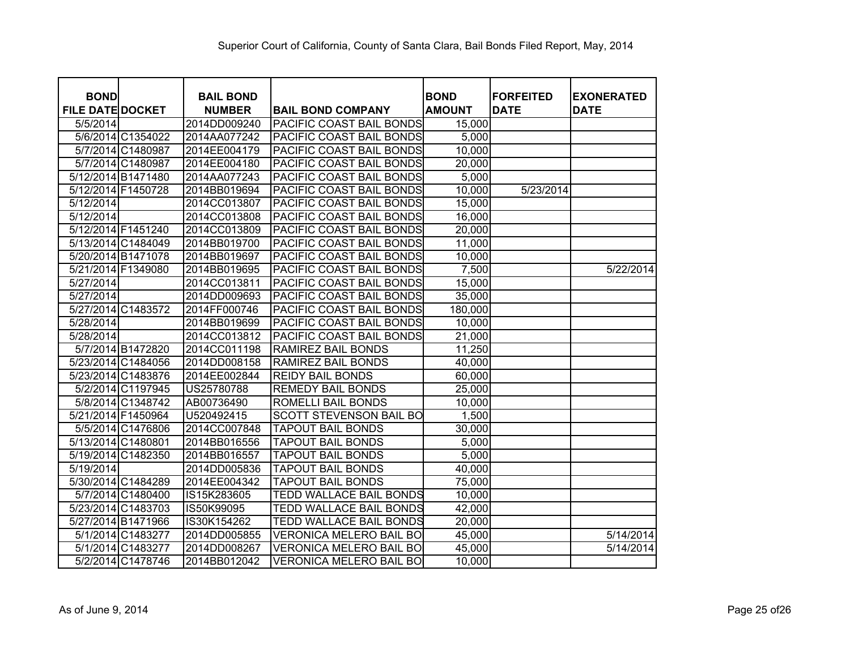| <b>BOND</b><br><b>FILE DATE DOCKET</b> |                   | <b>BAIL BOND</b><br><b>NUMBER</b> | <b>BAIL BOND COMPANY</b>        | <b>BOND</b><br><b>AMOUNT</b> | <b>FORFEITED</b><br><b>DATE</b> | <b>EXONERATED</b><br><b>DATE</b> |
|----------------------------------------|-------------------|-----------------------------------|---------------------------------|------------------------------|---------------------------------|----------------------------------|
| 5/5/2014                               |                   | 2014DD009240                      | <b>PACIFIC COAST BAIL BONDS</b> | 15,000                       |                                 |                                  |
|                                        | 5/6/2014 C1354022 | 2014AA077242                      | <b>PACIFIC COAST BAIL BONDS</b> | 5,000                        |                                 |                                  |
|                                        | 5/7/2014 C1480987 | 2014EE004179                      | <b>PACIFIC COAST BAIL BONDS</b> | 10,000                       |                                 |                                  |
|                                        | 5/7/2014 C1480987 | 2014EE004180                      | PACIFIC COAST BAIL BONDS        | 20,000                       |                                 |                                  |
| 5/12/2014 B1471480                     |                   | 2014AA077243                      | PACIFIC COAST BAIL BONDS        | 5,000                        |                                 |                                  |
| 5/12/2014 F1450728                     |                   | 2014BB019694                      | PACIFIC COAST BAIL BONDS        | 10,000                       | 5/23/2014                       |                                  |
| 5/12/2014                              |                   | 2014CC013807                      | <b>PACIFIC COAST BAIL BONDS</b> | 15,000                       |                                 |                                  |
| 5/12/2014                              |                   | 2014CC013808                      | PACIFIC COAST BAIL BONDS        | 16,000                       |                                 |                                  |
| 5/12/2014 F1451240                     |                   | 2014CC013809                      | <b>PACIFIC COAST BAIL BONDS</b> | 20,000                       |                                 |                                  |
| 5/13/2014 C1484049                     |                   | 2014BB019700                      | <b>PACIFIC COAST BAIL BONDS</b> | 11,000                       |                                 |                                  |
| 5/20/2014 B1471078                     |                   | 2014BB019697                      | PACIFIC COAST BAIL BONDS        | 10,000                       |                                 |                                  |
| 5/21/2014 F1349080                     |                   | 2014BB019695                      | PACIFIC COAST BAIL BONDS        | 7,500                        |                                 | 5/22/2014                        |
| 5/27/2014                              |                   | 2014CC013811                      | PACIFIC COAST BAIL BONDS        | 15,000                       |                                 |                                  |
| 5/27/2014                              |                   | 2014DD009693                      | <b>PACIFIC COAST BAIL BONDS</b> | 35,000                       |                                 |                                  |
| 5/27/2014 C1483572                     |                   | 2014FF000746                      | PACIFIC COAST BAIL BONDS        | 180,000                      |                                 |                                  |
| 5/28/2014                              |                   | 2014BB019699                      | PACIFIC COAST BAIL BONDS        | 10,000                       |                                 |                                  |
| 5/28/2014                              |                   | 2014CC013812                      | PACIFIC COAST BAIL BONDS        | 21,000                       |                                 |                                  |
|                                        | 5/7/2014 B1472820 | 2014CC011198                      | <b>RAMIREZ BAIL BONDS</b>       | 11,250                       |                                 |                                  |
| 5/23/2014 C1484056                     |                   | 2014DD008158                      | <b>RAMIREZ BAIL BONDS</b>       | 40,000                       |                                 |                                  |
| 5/23/2014 C1483876                     |                   | 2014EE002844                      | <b>REIDY BAIL BONDS</b>         | 60,000                       |                                 |                                  |
|                                        | 5/2/2014 C1197945 | US25780788                        | <b>REMEDY BAIL BONDS</b>        | 25,000                       |                                 |                                  |
|                                        | 5/8/2014 C1348742 | AB00736490                        | ROMELLI BAIL BONDS              | 10,000                       |                                 |                                  |
| 5/21/2014 F1450964                     |                   | U520492415                        | <b>SCOTT STEVENSON BAIL BO</b>  | 1,500                        |                                 |                                  |
|                                        | 5/5/2014 C1476806 | 2014CC007848                      | <b>TAPOUT BAIL BONDS</b>        | 30,000                       |                                 |                                  |
| 5/13/2014 C1480801                     |                   | 2014BB016556                      | <b>TAPOUT BAIL BONDS</b>        | 5,000                        |                                 |                                  |
| 5/19/2014 C1482350                     |                   | 2014BB016557                      | <b>TAPOUT BAIL BONDS</b>        | 5,000                        |                                 |                                  |
| 5/19/2014                              |                   | 2014DD005836                      | <b>TAPOUT BAIL BONDS</b>        | 40,000                       |                                 |                                  |
| 5/30/2014 C1484289                     |                   | 2014EE004342                      | <b>TAPOUT BAIL BONDS</b>        | 75,000                       |                                 |                                  |
|                                        | 5/7/2014 C1480400 | IS15K283605                       | <b>TEDD WALLACE BAIL BONDS</b>  | 10,000                       |                                 |                                  |
| 5/23/2014 C1483703                     |                   | IS50K99095                        | <b>TEDD WALLACE BAIL BONDS</b>  | 42,000                       |                                 |                                  |
| 5/27/2014 B1471966                     |                   | IS30K154262                       | TEDD WALLACE BAIL BONDS         | 20,000                       |                                 |                                  |
|                                        | 5/1/2014 C1483277 | 2014DD005855                      | <b>VERONICA MELERO BAIL BO</b>  | 45,000                       |                                 | 5/14/2014                        |
|                                        | 5/1/2014 C1483277 | 2014DD008267                      | VERONICA MELERO BAIL BO         | 45,000                       |                                 | 5/14/2014                        |
|                                        | 5/2/2014 C1478746 | 2014BB012042                      | <b>VERONICA MELERO BAIL BO</b>  | 10,000                       |                                 |                                  |